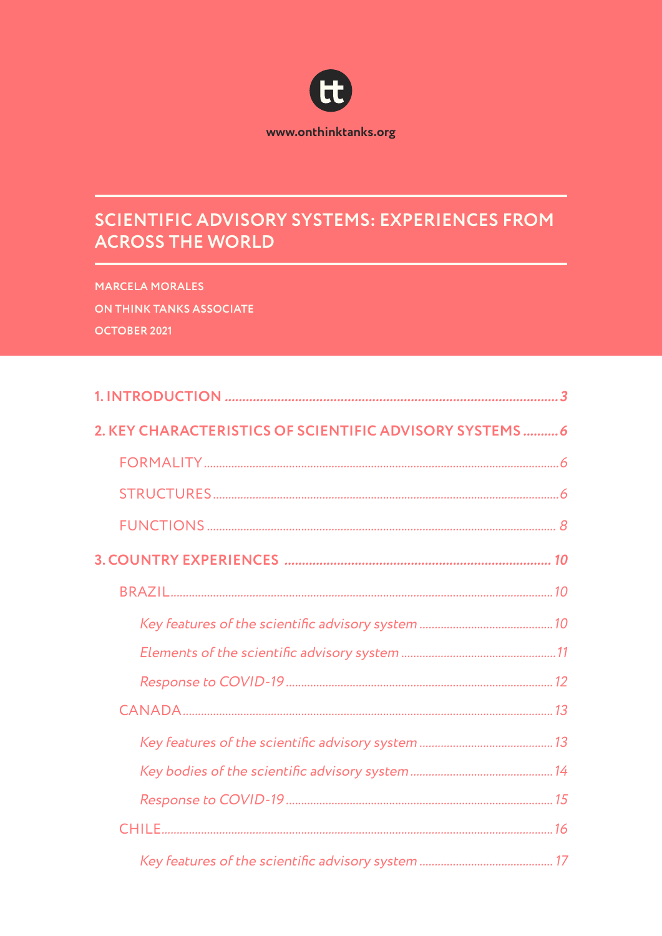

# SCIENTIFIC ADVISORY SYSTEMS: EXPERIENCES FROM **ACROSS THE WORLD**

**MARCELA MORALES** ON THINK TANKS ASSOCIATE **OCTOBER 2021** 

| 2. KEY CHARACTERISTICS OF SCIENTIFIC ADVISORY SYSTEMS 6 |  |
|---------------------------------------------------------|--|
|                                                         |  |
|                                                         |  |
|                                                         |  |
|                                                         |  |
|                                                         |  |
|                                                         |  |
|                                                         |  |
|                                                         |  |
|                                                         |  |
|                                                         |  |
|                                                         |  |
|                                                         |  |
|                                                         |  |
|                                                         |  |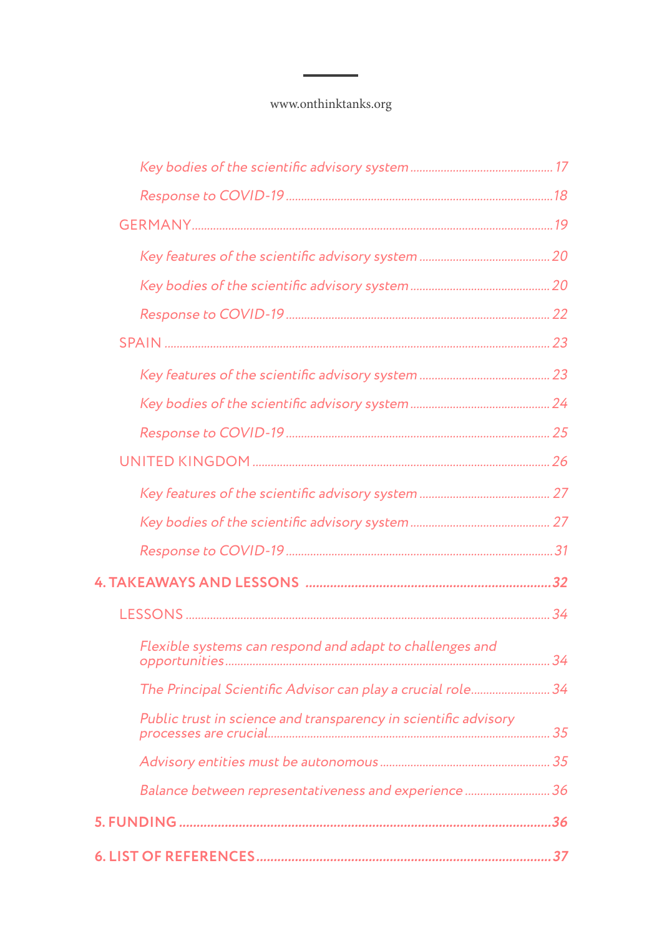| Flexible systems can respond and adapt to challenges and        |  |
|-----------------------------------------------------------------|--|
| The Principal Scientific Advisor can play a crucial role 34     |  |
| Public trust in science and transparency in scientific advisory |  |
|                                                                 |  |
| Balance between representativeness and experience  36           |  |
|                                                                 |  |
|                                                                 |  |
|                                                                 |  |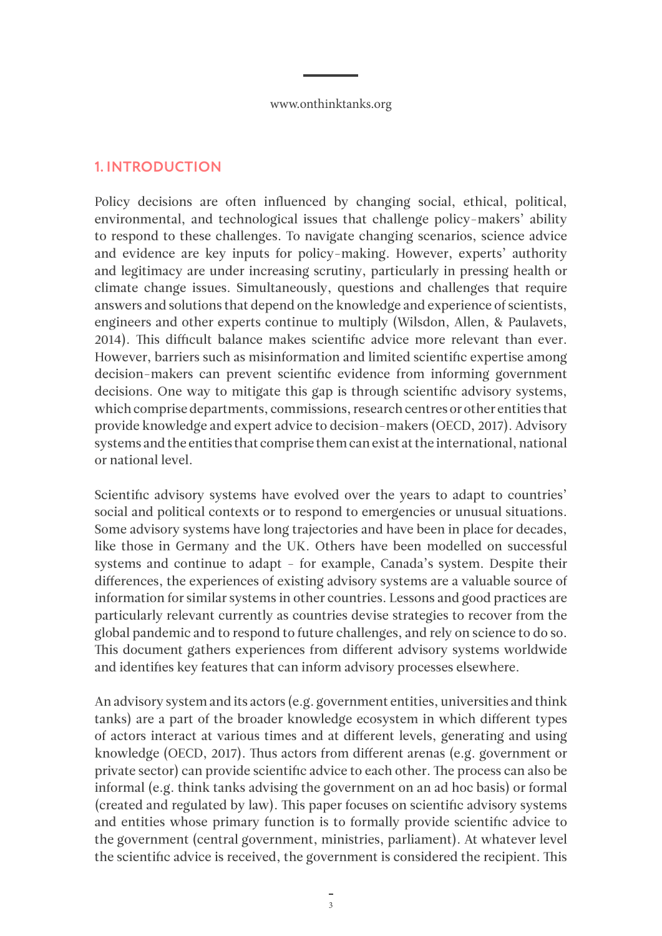### <span id="page-2-0"></span>**1. INTRODUCTION**

Policy decisions are often influenced by changing social, ethical, political, environmental, and technological issues that challenge policy-makers' ability to respond to these challenges. To navigate changing scenarios, science advice and evidence are key inputs for policy-making. However, experts' authority and legitimacy are under increasing scrutiny, particularly in pressing health or climate change issues. Simultaneously, questions and challenges that require answers and solutions that depend on the knowledge and experience of scientists, engineers and other experts continue to multiply (Wilsdon, Allen, & Paulavets, 2014). This difficult balance makes scientific advice more relevant than ever. However, barriers such as misinformation and limited scientific expertise among decision-makers can prevent scientific evidence from informing government decisions. One way to mitigate this gap is through scientific advisory systems, which comprise departments, commissions, research centres or other entities that provide knowledge and expert advice to decision-makers (OECD, 2017). Advisory systems and the entities that comprise them can exist at the international, national or national level.

Scientific advisory systems have evolved over the years to adapt to countries' social and political contexts or to respond to emergencies or unusual situations. Some advisory systems have long trajectories and have been in place for decades, like those in Germany and the UK. Others have been modelled on successful systems and continue to adapt - for example, Canada's system. Despite their differences, the experiences of existing advisory systems are a valuable source of information for similar systems in other countries. Lessons and good practices are particularly relevant currently as countries devise strategies to recover from the global pandemic and to respond to future challenges, and rely on science to do so. This document gathers experiences from different advisory systems worldwide and identifies key features that can inform advisory processes elsewhere.

An advisory system and its actors (e.g. government entities, universities and think tanks) are a part of the broader knowledge ecosystem in which different types of actors interact at various times and at different levels, generating and using knowledge (OECD, 2017). Thus actors from different arenas (e.g. government or private sector) can provide scientific advice to each other. The process can also be informal (e.g. think tanks advising the government on an ad hoc basis) or formal (created and regulated by law). This paper focuses on scientific advisory systems and entities whose primary function is to formally provide scientific advice to the government (central government, ministries, parliament). At whatever level the scientific advice is received, the government is considered the recipient. This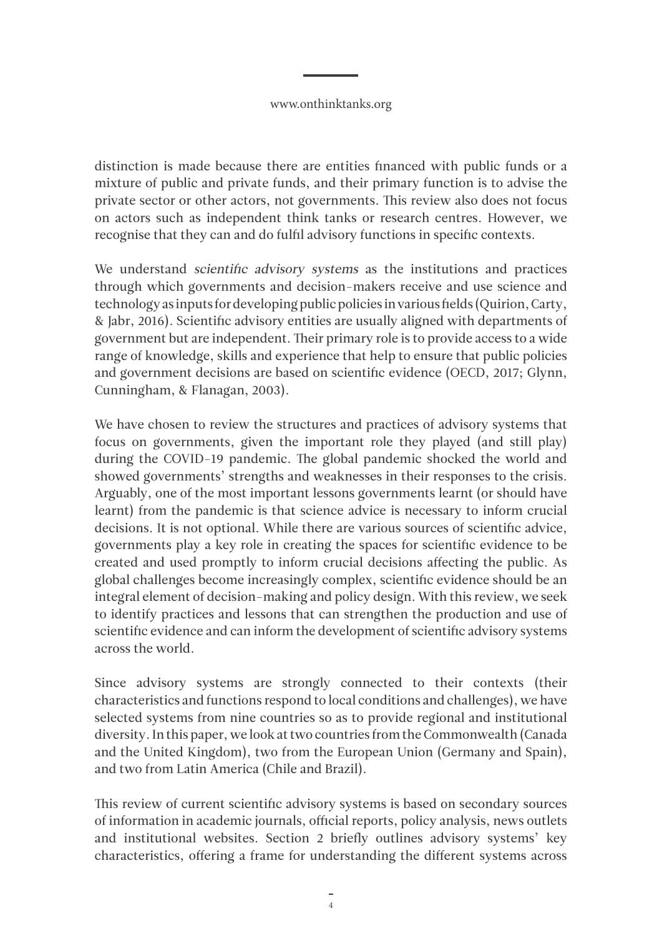distinction is made because there are entities financed with public funds or a mixture of public and private funds, and their primary function is to advise the private sector or other actors, not governments. This review also does not focus on actors such as independent think tanks or research centres. However, we recognise that they can and do fulfil advisory functions in specific contexts.

We understand scientific advisory systems as the institutions and practices through which governments and decision-makers receive and use science and technology as inputs for developing public policies in various fields (Quirion, Carty, & Jabr, 2016). Scientific advisory entities are usually aligned with departments of government but are independent. Their primary role is to provide access to a wide range of knowledge, skills and experience that help to ensure that public policies and government decisions are based on scientific evidence (OECD, 2017; Glynn, Cunningham, & Flanagan, 2003).

We have chosen to review the structures and practices of advisory systems that focus on governments, given the important role they played (and still play) during the COVID-19 pandemic. The global pandemic shocked the world and showed governments' strengths and weaknesses in their responses to the crisis. Arguably, one of the most important lessons governments learnt (or should have learnt) from the pandemic is that science advice is necessary to inform crucial decisions. It is not optional. While there are various sources of scientific advice, governments play a key role in creating the spaces for scientific evidence to be created and used promptly to inform crucial decisions affecting the public. As global challenges become increasingly complex, scientific evidence should be an integral element of decision-making and policy design. With this review, we seek to identify practices and lessons that can strengthen the production and use of scientific evidence and can inform the development of scientific advisory systems across the world.

Since advisory systems are strongly connected to their contexts (their characteristics and functions respond to local conditions and challenges), we have selected systems from nine countries so as to provide regional and institutional diversity. In this paper, we look at two countries from the Commonwealth (Canada and the United Kingdom), two from the European Union (Germany and Spain), and two from Latin America (Chile and Brazil).

This review of current scientific advisory systems is based on secondary sources of information in academic journals, official reports, policy analysis, news outlets and institutional websites. Section 2 briefly outlines advisory systems' key characteristics, offering a frame for understanding the different systems across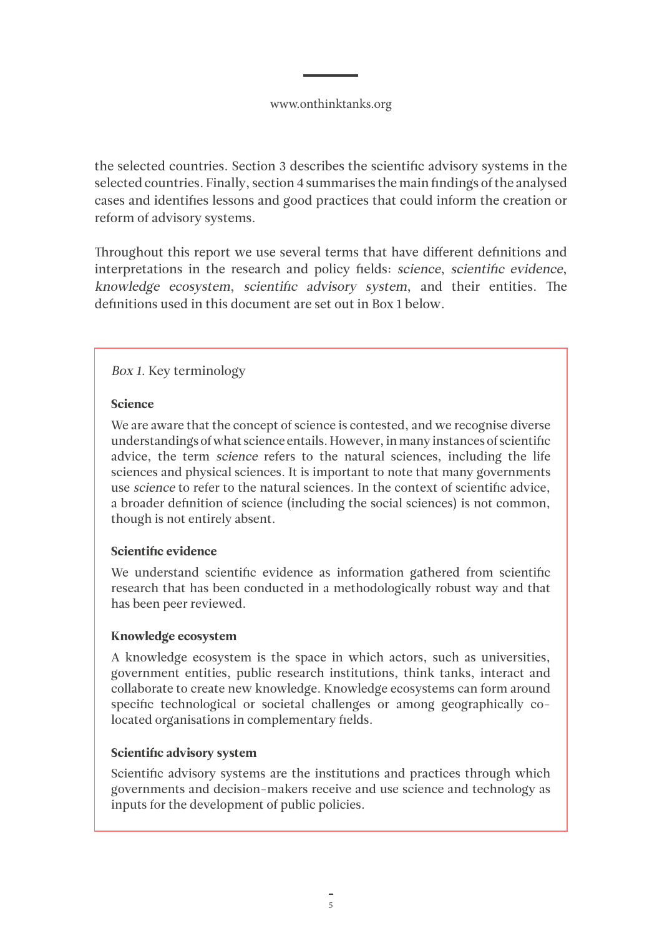the selected countries. Section 3 describes the scientific advisory systems in the selected countries. Finally, section 4 summarises the main findings of the analysed cases and identifies lessons and good practices that could inform the creation or reform of advisory systems.

Throughout this report we use several terms that have different definitions and interpretations in the research and policy fields: science, scientific evidence, knowledge ecosystem, scientific advisory system, and their entities. The definitions used in this document are set out in Box 1 below.

### Box 1. Key terminology

#### Science

We are aware that the concept of science is contested, and we recognise diverse understandings of what science entails. However, in many instances of scientific advice, the term science refers to the natural sciences, including the life sciences and physical sciences. It is important to note that many governments use science to refer to the natural sciences. In the context of scientific advice, a broader definition of science (including the social sciences) is not common, though is not entirely absent.

### Scientific evidence

We understand scientific evidence as information gathered from scientific research that has been conducted in a methodologically robust way and that has been peer reviewed.

#### Knowledge ecosystem

A knowledge ecosystem is the space in which actors, such as universities, government entities, public research institutions, think tanks, interact and collaborate to create new knowledge. Knowledge ecosystems can form around specific technological or societal challenges or among geographically colocated organisations in complementary fields.

### Scientific advisory system

Scientific advisory systems are the institutions and practices through which governments and decision-makers receive and use science and technology as inputs for the development of public policies.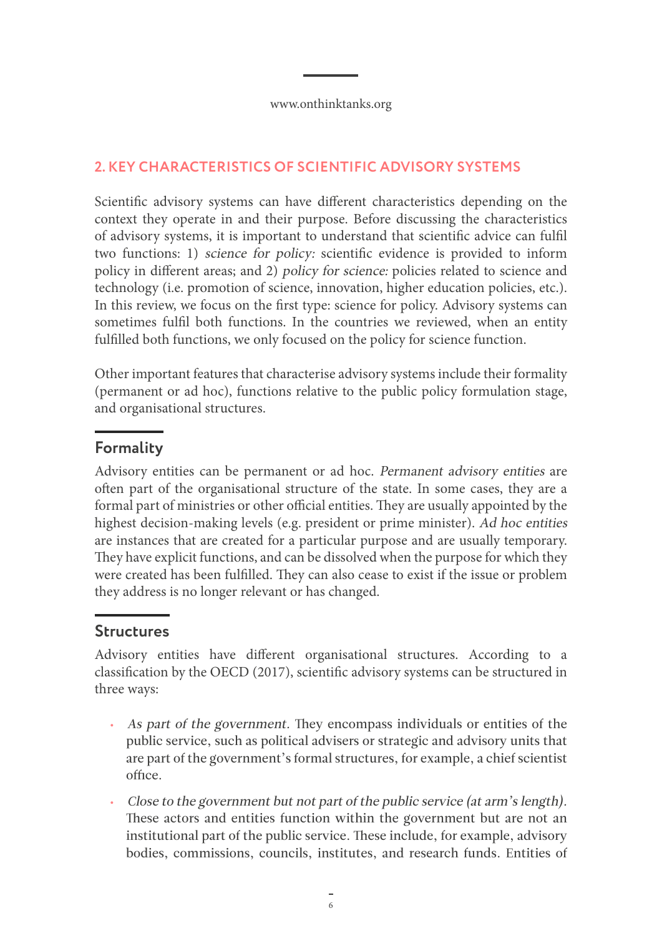## <span id="page-5-0"></span>**2. KEY CHARACTERISTICS OF SCIENTIFIC ADVISORY SYSTEMS**

Scientific advisory systems can have different characteristics depending on the context they operate in and their purpose. Before discussing the characteristics of advisory systems, it is important to understand that scientific advice can fulfil two functions: 1) science for policy: scientific evidence is provided to inform policy in different areas; and 2) policy for science: policies related to science and technology (i.e. promotion of science, innovation, higher education policies, etc.). In this review, we focus on the first type: science for policy. Advisory systems can sometimes fulfil both functions. In the countries we reviewed, when an entity fulfilled both functions, we only focused on the policy for science function.

Other important features that characterise advisory systems include their formality (permanent or ad hoc), functions relative to the public policy formulation stage, and organisational structures.

# **Formality**

Advisory entities can be permanent or ad hoc. Permanent advisory entities are often part of the organisational structure of the state. In some cases, they are a formal part of ministries or other official entities. They are usually appointed by the highest decision-making levels (e.g. president or prime minister). Ad hoc entities are instances that are created for a particular purpose and are usually temporary. They have explicit functions, and can be dissolved when the purpose for which they were created has been fulfilled. They can also cease to exist if the issue or problem they address is no longer relevant or has changed.

# **Structures**

Advisory entities have different organisational structures. According to a classification by the OECD (2017), scientific advisory systems can be structured in three ways:

- As part of the government. They encompass individuals or entities of the public service, such as political advisers or strategic and advisory units that are part of the government's formal structures, for example, a chief scientist office.
- Close to the government but not part of the public service (at arm's length). These actors and entities function within the government but are not an institutional part of the public service. These include, for example, advisory bodies, commissions, councils, institutes, and research funds. Entities of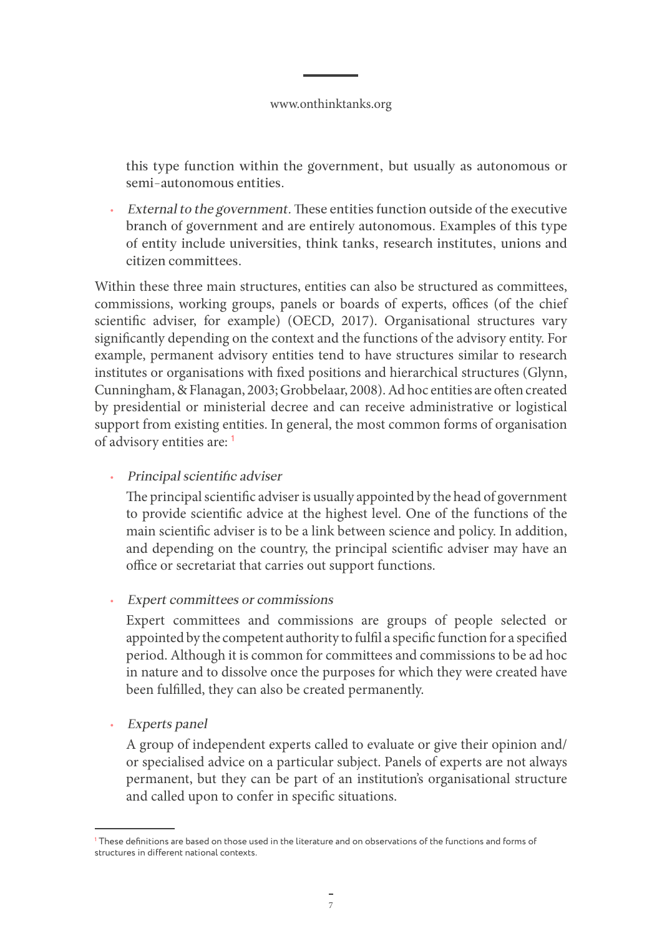this type function within the government, but usually as autonomous or semi-autonomous entities.

• External to the government. These entities function outside of the executive branch of government and are entirely autonomous. Examples of this type of entity include universities, think tanks, research institutes, unions and citizen committees.

Within these three main structures, entities can also be structured as committees, commissions, working groups, panels or boards of experts, offices (of the chief scientific adviser, for example) (OECD, 2017). Organisational structures vary significantly depending on the context and the functions of the advisory entity. For example, permanent advisory entities tend to have structures similar to research institutes or organisations with fixed positions and hierarchical structures (Glynn, Cunningham, & Flanagan, 2003; Grobbelaar, 2008). Ad hoc entities are often created by presidential or ministerial decree and can receive administrative or logistical support from existing entities. In general, the most common forms of organisation of advisory entities are: **<sup>1</sup>**

### • Principal scientific adviser

The principal scientific adviser is usually appointed by the head of government to provide scientific advice at the highest level. One of the functions of the main scientific adviser is to be a link between science and policy. In addition, and depending on the country, the principal scientific adviser may have an office or secretariat that carries out support functions.

• Expert committees or commissions

Expert committees and commissions are groups of people selected or appointed by the competent authority to fulfil a specific function for a specified period. Although it is common for committees and commissions to be ad hoc in nature and to dissolve once the purposes for which they were created have been fulfilled, they can also be created permanently.

• Experts panel

A group of independent experts called to evaluate or give their opinion and/ or specialised advice on a particular subject. Panels of experts are not always permanent, but they can be part of an institution's organisational structure and called upon to confer in specific situations.

**<sup>1</sup>** These definitions are based on those used in the literature and on observations of the functions and forms of structures in different national contexts.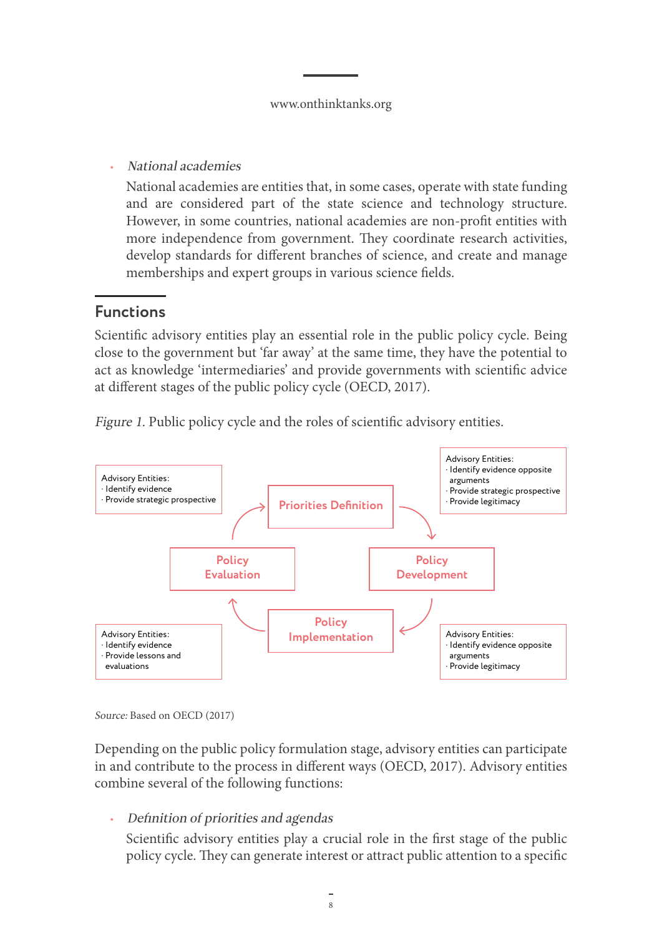<span id="page-7-0"></span>• National academies

National academies are entities that, in some cases, operate with state funding and are considered part of the state science and technology structure. However, in some countries, national academies are non-profit entities with more independence from government. They coordinate research activities, develop standards for different branches of science, and create and manage memberships and expert groups in various science fields.

# **Functions**

Scientific advisory entities play an essential role in the public policy cycle. Being close to the government but 'far away' at the same time, they have the potential to act as knowledge 'intermediaries' and provide governments with scientific advice at different stages of the public policy cycle (OECD, 2017).



Figure 1. Public policy cycle and the roles of scientific advisory entities.

Source: Based on OECD (2017)

Depending on the public policy formulation stage, advisory entities can participate in and contribute to the process in different ways (OECD, 2017). Advisory entities combine several of the following functions:

• Definition of priorities and agendas

Scientific advisory entities play a crucial role in the first stage of the public policy cycle. They can generate interest or attract public attention to a specific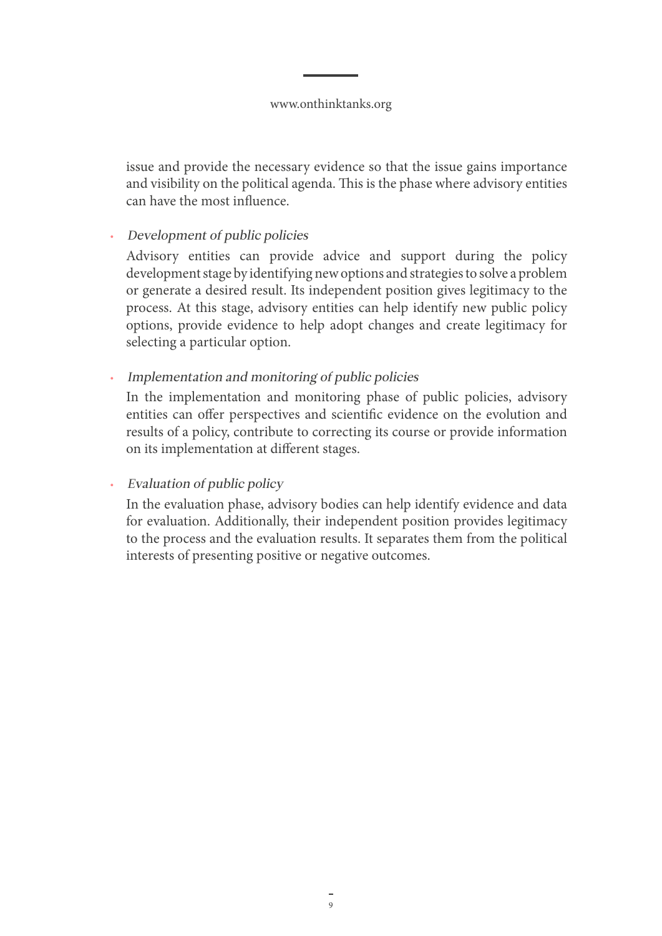issue and provide the necessary evidence so that the issue gains importance and visibility on the political agenda. This is the phase where advisory entities can have the most influence.

## • Development of public policies

Advisory entities can provide advice and support during the policy development stage by identifying new options and strategies to solve a problem or generate a desired result. Its independent position gives legitimacy to the process. At this stage, advisory entities can help identify new public policy options, provide evidence to help adopt changes and create legitimacy for selecting a particular option.

• Implementation and monitoring of public policies

In the implementation and monitoring phase of public policies, advisory entities can offer perspectives and scientific evidence on the evolution and results of a policy, contribute to correcting its course or provide information on its implementation at different stages.

### • Evaluation of public policy

In the evaluation phase, advisory bodies can help identify evidence and data for evaluation. Additionally, their independent position provides legitimacy to the process and the evaluation results. It separates them from the political interests of presenting positive or negative outcomes.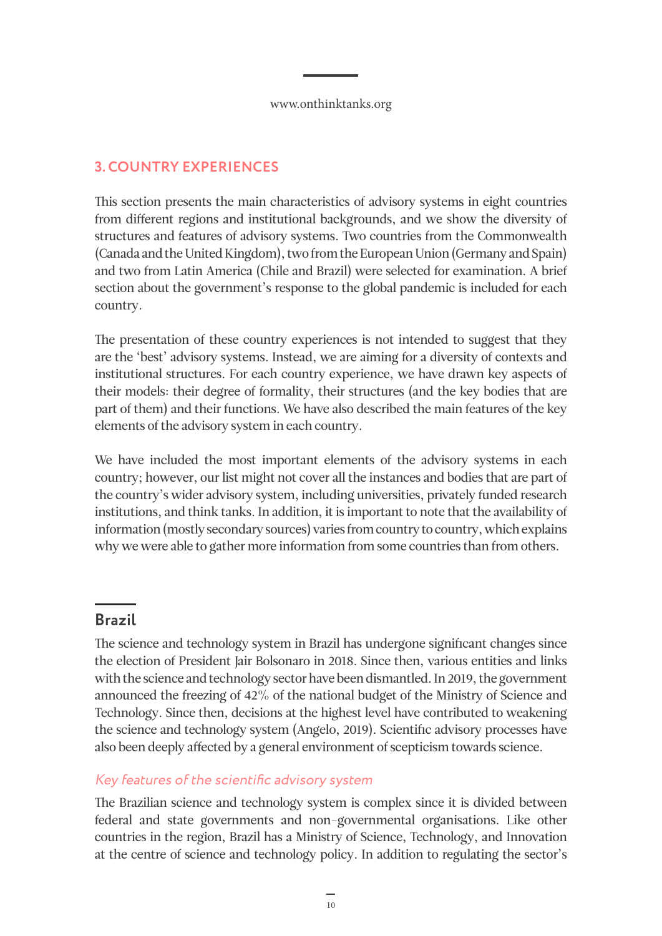# <span id="page-9-0"></span>**3. COUNTRY EXPERIENCES**

This section presents the main characteristics of advisory systems in eight countries from different regions and institutional backgrounds, and we show the diversity of structures and features of advisory systems. Two countries from the Commonwealth (Canada and the United Kingdom), two from the European Union (Germany and Spain) and two from Latin America (Chile and Brazil) were selected for examination. A brief section about the government's response to the global pandemic is included for each country.

The presentation of these country experiences is not intended to suggest that they are the 'best' advisory systems. Instead, we are aiming for a diversity of contexts and institutional structures. For each country experience, we have drawn key aspects of their models: their degree of formality, their structures (and the key bodies that are part of them) and their functions. We have also described the main features of the key elements of the advisory system in each country.

We have included the most important elements of the advisory systems in each country; however, our list might not cover all the instances and bodies that are part of the country's wider advisory system, including universities, privately funded research institutions, and think tanks. In addition, it is important to note that the availability of information (mostly secondary sources) varies from country to country, which explains why we were able to gather more information from some countries than from others.

# **Brazil**

The science and technology system in Brazil has undergone significant changes since the election of President Jair Bolsonaro in 2018. Since then, various entities and links with the science and technology sector have been dismantled. In 2019, the government announced the freezing of 42% of the national budget of the Ministry of Science and Technology. Since then, decisions at the highest level have contributed to weakening the science and technology system (Angelo, 2019). Scientific advisory processes have also been deeply affected by a general environment of scepticism towards science.

## Key features of the scientific advisory system

The Brazilian science and technology system is complex since it is divided between federal and state governments and non-governmental organisations. Like other countries in the region, Brazil has a Ministry of Science, Technology, and Innovation at the centre of science and technology policy. In addition to regulating the sector's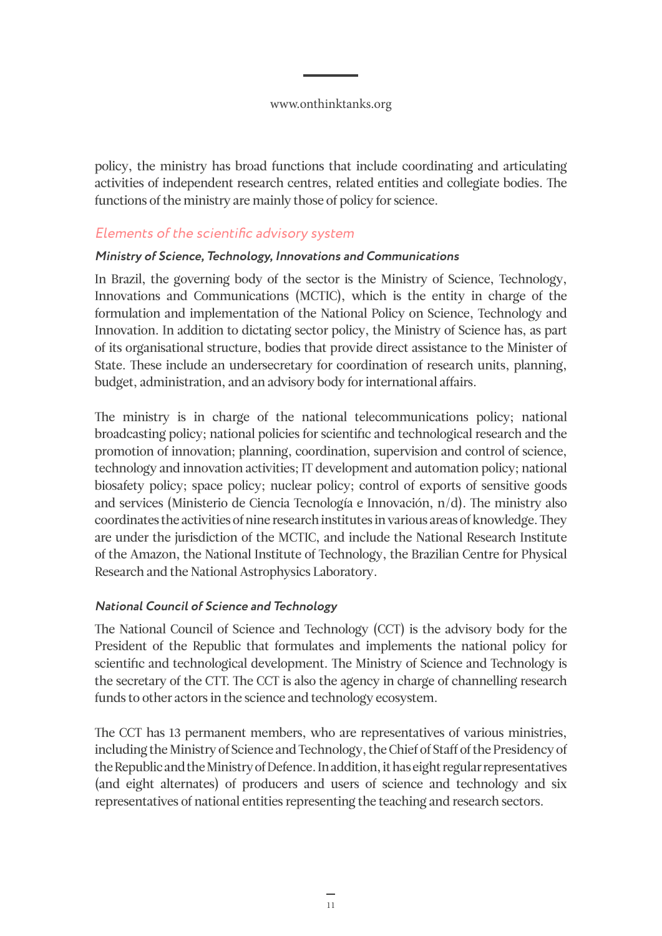<span id="page-10-0"></span>policy, the ministry has broad functions that include coordinating and articulating activities of independent research centres, related entities and collegiate bodies. The functions of the ministry are mainly those of policy for science.

### Elements of the scientific advisory system

#### **Ministry of Science, Technology, Innovations and Communications**

In Brazil, the governing body of the sector is the Ministry of Science, Technology, Innovations and Communications (MCTIC), which is the entity in charge of the formulation and implementation of the National Policy on Science, Technology and Innovation. In addition to dictating sector policy, the Ministry of Science has, as part of its organisational structure, bodies that provide direct assistance to the Minister of State. These include an undersecretary for coordination of research units, planning, budget, administration, and an advisory body for international affairs.

The ministry is in charge of the national telecommunications policy; national broadcasting policy; national policies for scientific and technological research and the promotion of innovation; planning, coordination, supervision and control of science, technology and innovation activities; IT development and automation policy; national biosafety policy; space policy; nuclear policy; control of exports of sensitive goods and services (Ministerio de Ciencia Tecnología e Innovación, n/d). The ministry also coordinates the activities of nine research institutes in various areas of knowledge. They are under the jurisdiction of the MCTIC, and include the National Research Institute of the Amazon, the National Institute of Technology, the Brazilian Centre for Physical Research and the National Astrophysics Laboratory.

### **National Council of Science and Technology**

The National Council of Science and Technology (CCT) is the advisory body for the President of the Republic that formulates and implements the national policy for scientific and technological development. The Ministry of Science and Technology is the secretary of the CTT. The CCT is also the agency in charge of channelling research funds to other actors in the science and technology ecosystem.

The CCT has 13 permanent members, who are representatives of various ministries, including the Ministry of Science and Technology, the Chief of Staff of the Presidency of the Republic and the Ministry of Defence. In addition, it has eight regular representatives (and eight alternates) of producers and users of science and technology and six representatives of national entities representing the teaching and research sectors.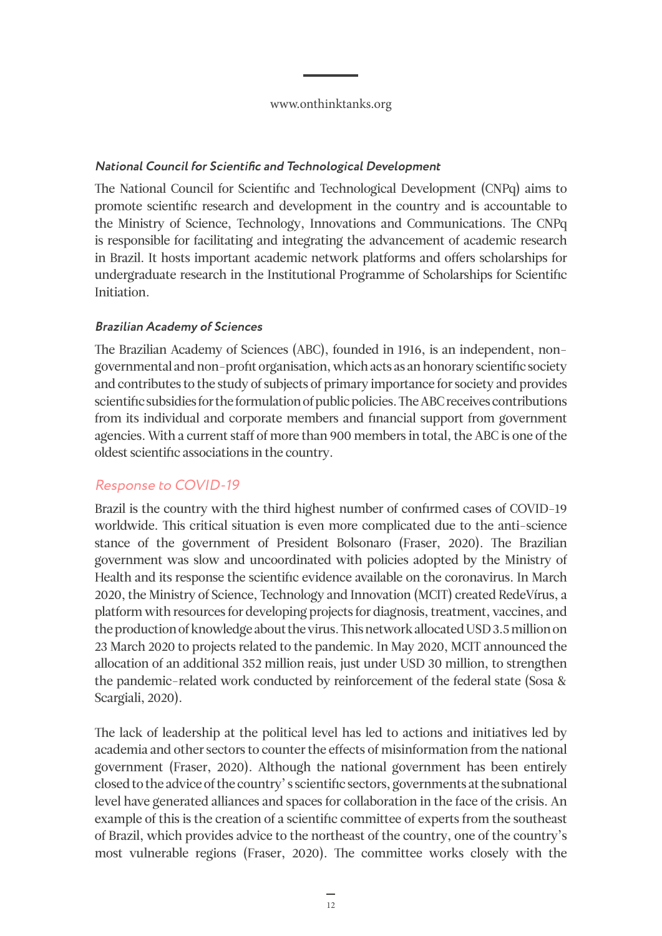#### <span id="page-11-0"></span>**National Council for Scientific and Technological Development**

The National Council for Scientific and Technological Development (CNPq) aims to promote scientific research and development in the country and is accountable to the Ministry of Science, Technology, Innovations and Communications. The CNPq is responsible for facilitating and integrating the advancement of academic research in Brazil. It hosts important academic network platforms and offers scholarships for undergraduate research in the Institutional Programme of Scholarships for Scientific Initiation.

### **Brazilian Academy of Sciences**

The Brazilian Academy of Sciences (ABC), founded in 1916, is an independent, nongovernmental and non-profit organisation, which acts as an honorary scientific society and contributes to the study of subjects of primary importance for society and provides scientific subsidies for the formulation of public policies. The ABC receives contributions from its individual and corporate members and financial support from government agencies. With a current staff of more than 900 members in total, the ABC is one of the oldest scientific associations in the country.

### Response to COVID-19

Brazil is the country with the third highest number of confirmed cases of COVID-19 worldwide. This critical situation is even more complicated due to the anti-science stance of the government of President Bolsonaro (Fraser, 2020). The Brazilian government was slow and uncoordinated with policies adopted by the Ministry of Health and its response the scientific evidence available on the coronavirus. In March 2020, the Ministry of Science, Technology and Innovation (MCIT) created RedeVírus, a platform with resources for developing projects for diagnosis, treatment, vaccines, and the production of knowledge about the virus. This network allocated USD 3.5 million on 23 March 2020 to projects related to the pandemic. In May 2020, MCIT announced the allocation of an additional 352 million reais, just under USD 30 million, to strengthen the pandemic-related work conducted by reinforcement of the federal state (Sosa & Scargiali, 2020).

The lack of leadership at the political level has led to actions and initiatives led by academia and other sectors to counter the effects of misinformation from the national government (Fraser, 2020). Although the national government has been entirely closed to the advice of the country' s scientific sectors, governments at the subnational level have generated alliances and spaces for collaboration in the face of the crisis. An example of this is the creation of a scientific committee of experts from the southeast of Brazil, which provides advice to the northeast of the country, one of the country's most vulnerable regions (Fraser, 2020). The committee works closely with the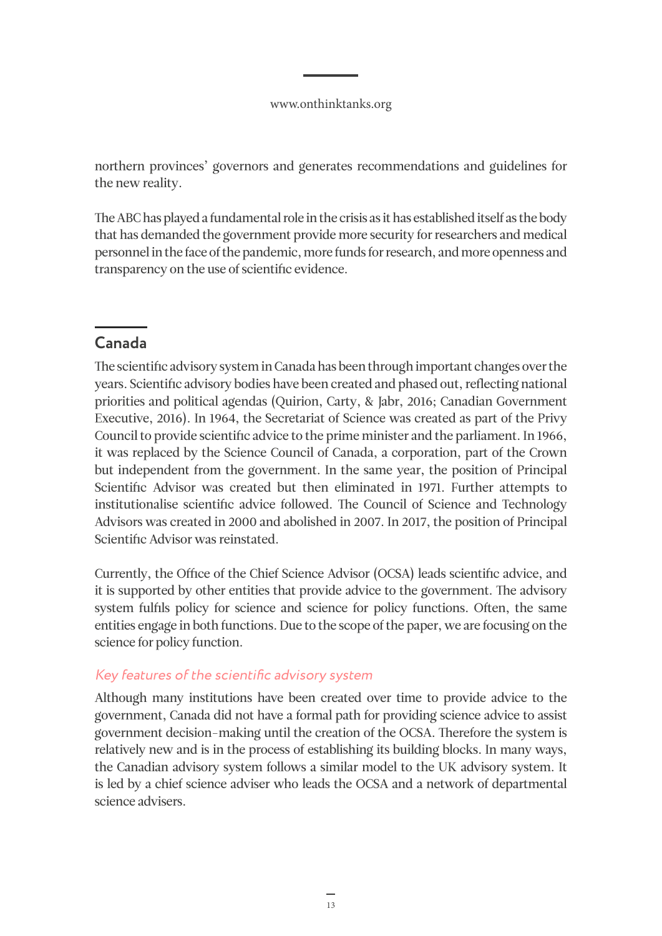<span id="page-12-0"></span>northern provinces' governors and generates recommendations and guidelines for the new reality.

The ABC has played a fundamental role in the crisis as it has established itself as the body that has demanded the government provide more security for researchers and medical personnel in the face of the pandemic, more funds for research, and more openness and transparency on the use of scientific evidence.

# **Canada**

The scientific advisory system in Canada has been through important changes over the years. Scientific advisory bodies have been created and phased out, reflecting national priorities and political agendas (Quirion, Carty, & Jabr, 2016; Canadian Government Executive, 2016). In 1964, the Secretariat of Science was created as part of the Privy Council to provide scientific advice to the prime minister and the parliament. In 1966, it was replaced by the Science Council of Canada, a corporation, part of the Crown but independent from the government. In the same year, the position of Principal Scientific Advisor was created but then eliminated in 1971. Further attempts to institutionalise scientific advice followed. The Council of Science and Technology Advisors was created in 2000 and abolished in 2007. In 2017, the position of Principal Scientific Advisor was reinstated.

Currently, the Office of the Chief Science Advisor (OCSA) leads scientific advice, and it is supported by other entities that provide advice to the government. The advisory system fulfils policy for science and science for policy functions. Often, the same entities engage in both functions. Due to the scope of the paper, we are focusing on the science for policy function.

### Key features of the scientific advisory system

Although many institutions have been created over time to provide advice to the government, Canada did not have a formal path for providing science advice to assist government decision-making until the creation of the OCSA. Therefore the system is relatively new and is in the process of establishing its building blocks. In many ways, the Canadian advisory system follows a similar model to the UK advisory system. It is led by a chief science adviser who leads the OCSA and a network of departmental science advisers.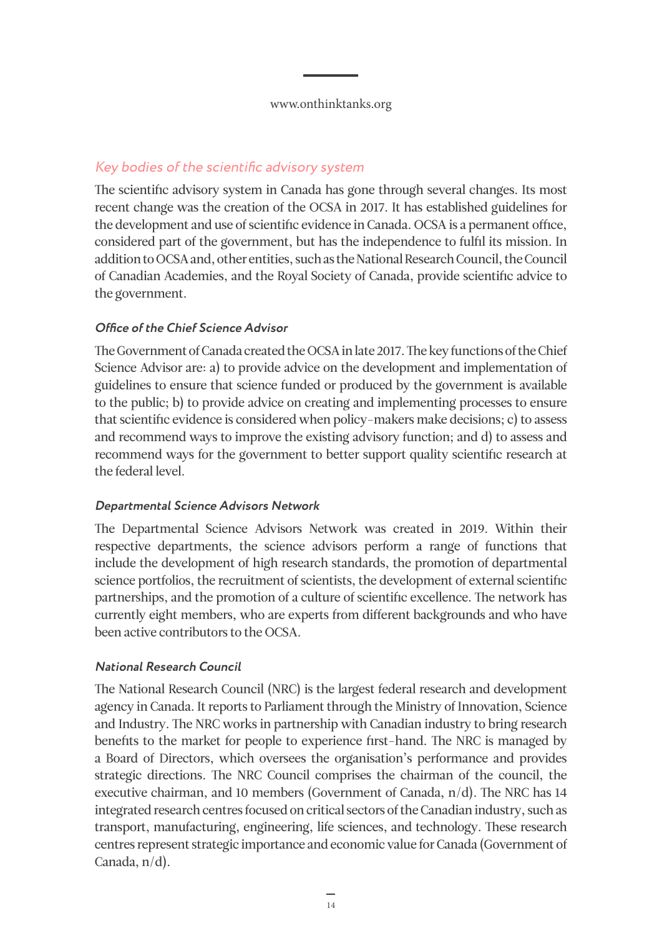## <span id="page-13-0"></span>Key bodies of the scientific advisory system

The scientific advisory system in Canada has gone through several changes. Its most recent change was the creation of the OCSA in 2017. It has established guidelines for the development and use of scientific evidence in Canada. OCSA is a permanent office, considered part of the government, but has the independence to fulfil its mission. In addition to OCSA and, other entities, such as the National Research Council, the Council of Canadian Academies, and the Royal Society of Canada, provide scientific advice to the government.

### **Office of the Chief Science Advisor**

The Government of Canada created the OCSA in late 2017. The key functions of the Chief Science Advisor are: a) to provide advice on the development and implementation of guidelines to ensure that science funded or produced by the government is available to the public; b) to provide advice on creating and implementing processes to ensure that scientific evidence is considered when policy-makers make decisions; c) to assess and recommend ways to improve the existing advisory function; and d) to assess and recommend ways for the government to better support quality scientific research at the federal level.

### **Departmental Science Advisors Network**

The Departmental Science Advisors Network was created in 2019. Within their respective departments, the science advisors perform a range of functions that include the development of high research standards, the promotion of departmental science portfolios, the recruitment of scientists, the development of external scientific partnerships, and the promotion of a culture of scientific excellence. The network has currently eight members, who are experts from different backgrounds and who have been active contributors to the OCSA.

### **National Research Council**

The National Research Council (NRC) is the largest federal research and development agency in Canada. It reports to Parliament through the Ministry of Innovation, Science and Industry. The NRC works in partnership with Canadian industry to bring research benefits to the market for people to experience first-hand. The NRC is managed by a Board of Directors, which oversees the organisation's performance and provides strategic directions. The NRC Council comprises the chairman of the council, the executive chairman, and 10 members (Government of Canada, n/d). The NRC has 14 integrated research centres focused on critical sectors of the Canadian industry, such as transport, manufacturing, engineering, life sciences, and technology. These research centres represent strategic importance and economic value for Canada (Government of Canada, n/d).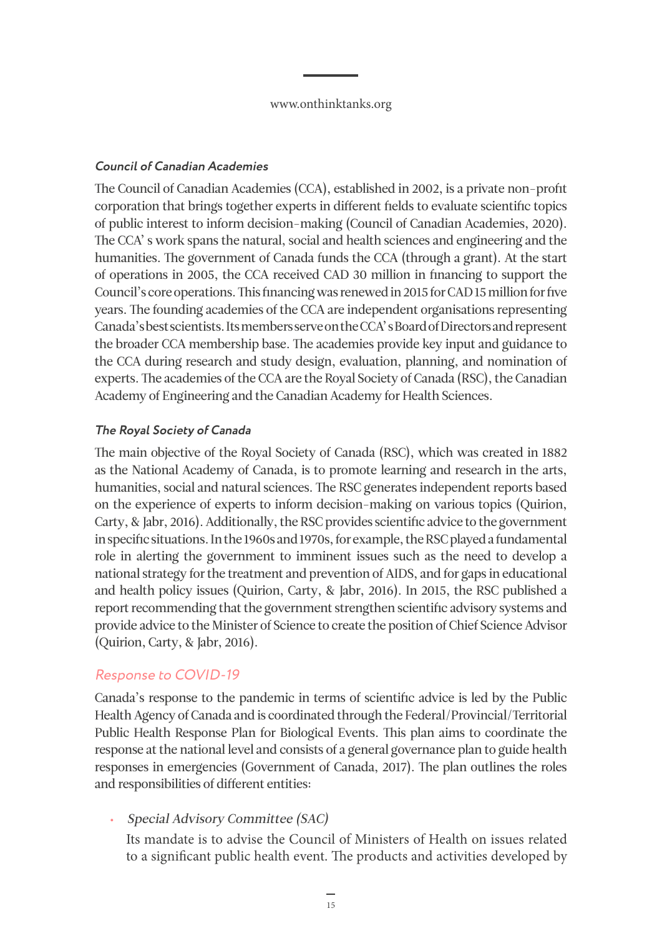#### <span id="page-14-0"></span>**Council of Canadian Academies**

The Council of Canadian Academies (CCA), established in 2002, is a private non-profit corporation that brings together experts in different fields to evaluate scientific topics of public interest to inform decision-making (Council of Canadian Academies, 2020). The CCA' s work spans the natural, social and health sciences and engineering and the humanities. The government of Canada funds the CCA (through a grant). At the start of operations in 2005, the CCA received CAD 30 million in financing to support the Council's core operations. This financing was renewed in 2015 for CAD 15 million for five years. The founding academies of the CCA are independent organisations representing Canada's best scientists. Its members serve on the CCA' s Board of Directors and represent the broader CCA membership base. The academies provide key input and guidance to the CCA during research and study design, evaluation, planning, and nomination of experts. The academies of the CCA are the Royal Society of Canada (RSC), the Canadian Academy of Engineering and the Canadian Academy for Health Sciences.

### **The Royal Society of Canada**

The main objective of the Royal Society of Canada (RSC), which was created in 1882 as the National Academy of Canada, is to promote learning and research in the arts, humanities, social and natural sciences. The RSC generates independent reports based on the experience of experts to inform decision-making on various topics (Quirion, Carty, & Jabr, 2016). Additionally, the RSC provides scientific advice to the government in specific situations. In the 1960s and 1970s, for example, the RSC played a fundamental role in alerting the government to imminent issues such as the need to develop a national strategy for the treatment and prevention of AIDS, and for gaps in educational and health policy issues (Quirion, Carty, & Jabr, 2016). In 2015, the RSC published a report recommending that the government strengthen scientific advisory systems and provide advice to the Minister of Science to create the position of Chief Science Advisor (Quirion, Carty, & Jabr, 2016).

### Response to COVID-19

Canada's response to the pandemic in terms of scientific advice is led by the Public Health Agency of Canada and is coordinated through the Federal/Provincial/Territorial Public Health Response Plan for Biological Events. This plan aims to coordinate the response at the national level and consists of a general governance plan to guide health responses in emergencies (Government of Canada, 2017). The plan outlines the roles and responsibilities of different entities:

• Special Advisory Committee (SAC)

Its mandate is to advise the Council of Ministers of Health on issues related to a significant public health event. The products and activities developed by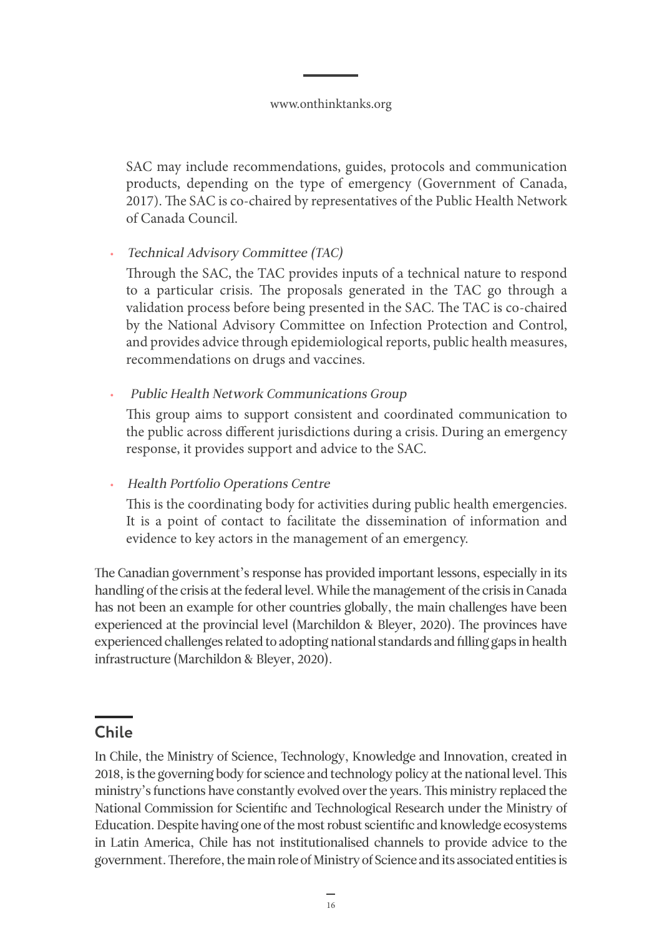<span id="page-15-0"></span>SAC may include recommendations, guides, protocols and communication products, depending on the type of emergency (Government of Canada, 2017). The SAC is co-chaired by representatives of the Public Health Network of Canada Council.

• Technical Advisory Committee (TAC)

Through the SAC, the TAC provides inputs of a technical nature to respond to a particular crisis. The proposals generated in the TAC go through a validation process before being presented in the SAC. The TAC is co-chaired by the National Advisory Committee on Infection Protection and Control, and provides advice through epidemiological reports, public health measures, recommendations on drugs and vaccines.

• Public Health Network Communications Group

This group aims to support consistent and coordinated communication to the public across different jurisdictions during a crisis. During an emergency response, it provides support and advice to the SAC.

• Health Portfolio Operations Centre

This is the coordinating body for activities during public health emergencies. It is a point of contact to facilitate the dissemination of information and evidence to key actors in the management of an emergency.

The Canadian government's response has provided important lessons, especially in its handling of the crisis at the federal level. While the management of the crisis in Canada has not been an example for other countries globally, the main challenges have been experienced at the provincial level (Marchildon & Bleyer, 2020). The provinces have experienced challenges related to adopting national standards and filling gaps in health infrastructure (Marchildon & Bleyer, 2020).

# **Chile**

In Chile, the Ministry of Science, Technology, Knowledge and Innovation, created in 2018, is the governing body for science and technology policy at the national level. This ministry's functions have constantly evolved over the years. This ministry replaced the National Commission for Scientific and Technological Research under the Ministry of Education. Despite having one of the most robust scientific and knowledge ecosystems in Latin America, Chile has not institutionalised channels to provide advice to the government. Therefore, the main role of Ministry of Science and its associated entities is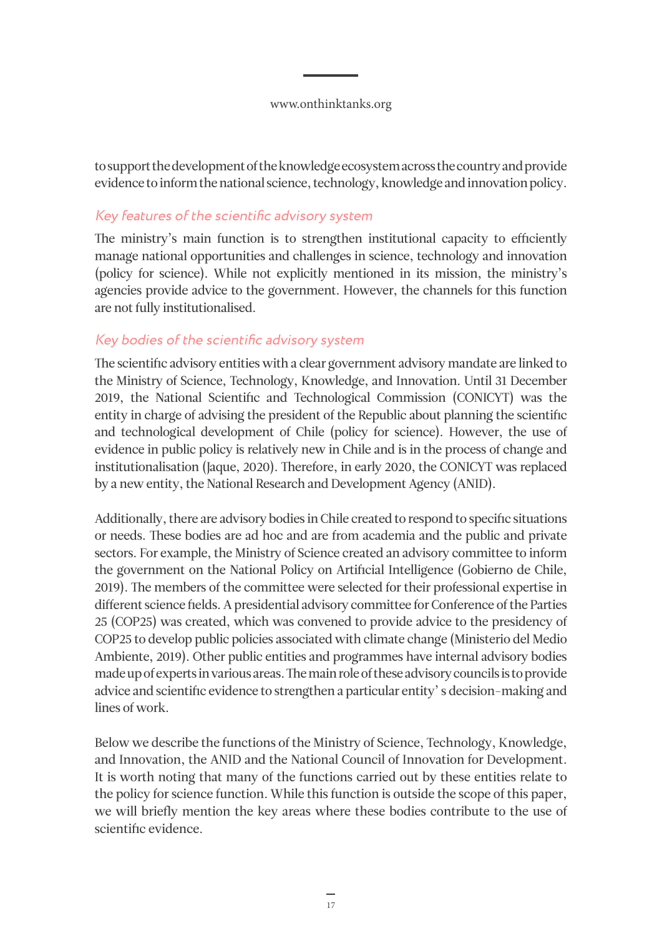<span id="page-16-0"></span>to support the development of the knowledge ecosystem across the country and provide evidence to inform the national science, technology, knowledge and innovation policy.

### Key features of the scientific advisory system

The ministry's main function is to strengthen institutional capacity to efficiently manage national opportunities and challenges in science, technology and innovation (policy for science). While not explicitly mentioned in its mission, the ministry's agencies provide advice to the government. However, the channels for this function are not fully institutionalised.

### Key bodies of the scientific advisory system

The scientific advisory entities with a clear government advisory mandate are linked to the Ministry of Science, Technology, Knowledge, and Innovation. Until 31 December 2019, the National Scientific and Technological Commission (CONICYT) was the entity in charge of advising the president of the Republic about planning the scientific and technological development of Chile (policy for science). However, the use of evidence in public policy is relatively new in Chile and is in the process of change and institutionalisation (Jaque, 2020). Therefore, in early 2020, the CONICYT was replaced by a new entity, the National Research and Development Agency (ANID).

Additionally, there are advisory bodies in Chile created to respond to specific situations or needs. These bodies are ad hoc and are from academia and the public and private sectors. For example, the Ministry of Science created an advisory committee to inform the government on the National Policy on Artificial Intelligence (Gobierno de Chile, 2019). The members of the committee were selected for their professional expertise in different science fields. A presidential advisory committee for Conference of the Parties 25 (COP25) was created, which was convened to provide advice to the presidency of COP25 to develop public policies associated with climate change (Ministerio del Medio Ambiente, 2019). Other public entities and programmes have internal advisory bodies made up of experts in various areas. The main role of these advisory councils is to provide advice and scientific evidence to strengthen a particular entity' s decision-making and lines of work.

Below we describe the functions of the Ministry of Science, Technology, Knowledge, and Innovation, the ANID and the National Council of Innovation for Development. It is worth noting that many of the functions carried out by these entities relate to the policy for science function. While this function is outside the scope of this paper, we will briefly mention the key areas where these bodies contribute to the use of scientific evidence.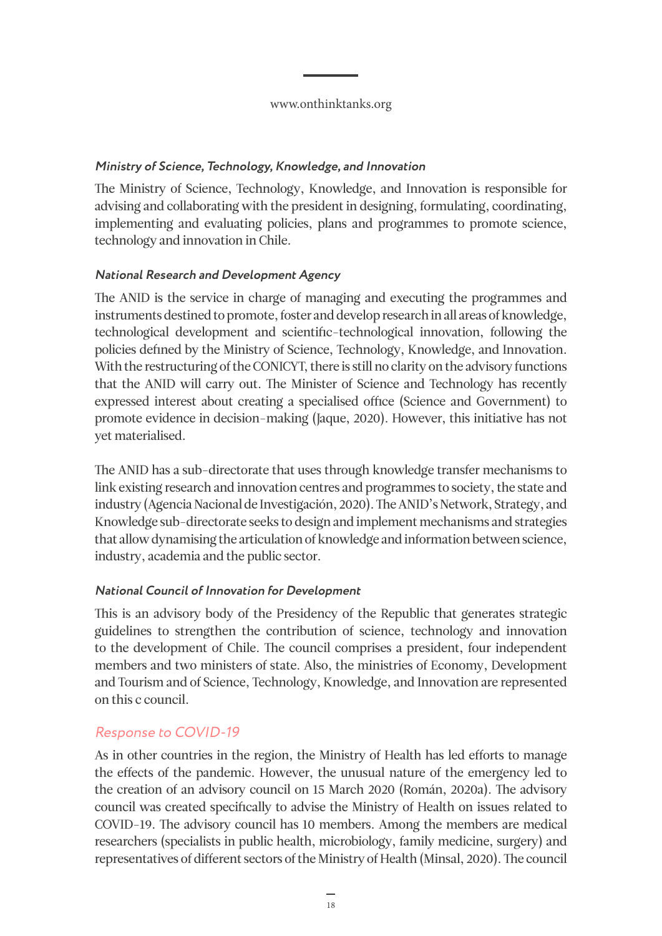### <span id="page-17-0"></span>**Ministry of Science, Technology, Knowledge, and Innovation**

The Ministry of Science, Technology, Knowledge, and Innovation is responsible for advising and collaborating with the president in designing, formulating, coordinating, implementing and evaluating policies, plans and programmes to promote science, technology and innovation in Chile.

### **National Research and Development Agency**

The ANID is the service in charge of managing and executing the programmes and instruments destined to promote, foster and develop research in all areas of knowledge, technological development and scientific-technological innovation, following the policies defined by the Ministry of Science, Technology, Knowledge, and Innovation. With the restructuring of the CONICYT, there is still no clarity on the advisory functions that the ANID will carry out. The Minister of Science and Technology has recently expressed interest about creating a specialised office (Science and Government) to promote evidence in decision-making (Jaque, 2020). However, this initiative has not yet materialised.

The ANID has a sub-directorate that uses through knowledge transfer mechanisms to link existing research and innovation centres and programmes to society, the state and industry (Agencia Nacional de Investigación, 2020). The ANID's Network, Strategy, and Knowledge sub-directorate seeks to design and implement mechanisms and strategies that allow dynamising the articulation of knowledge and information between science, industry, academia and the public sector.

### **National Council of Innovation for Development**

This is an advisory body of the Presidency of the Republic that generates strategic guidelines to strengthen the contribution of science, technology and innovation to the development of Chile. The council comprises a president, four independent members and two ministers of state. Also, the ministries of Economy, Development and Tourism and of Science, Technology, Knowledge, and Innovation are represented on this c council.

### Response to COVID-19

As in other countries in the region, the Ministry of Health has led efforts to manage the effects of the pandemic. However, the unusual nature of the emergency led to the creation of an advisory council on 15 March 2020 (Román, 2020a). The advisory council was created specifically to advise the Ministry of Health on issues related to COVID-19. The advisory council has 10 members. Among the members are medical researchers (specialists in public health, microbiology, family medicine, surgery) and representatives of different sectors of the Ministry of Health (Minsal, 2020). The council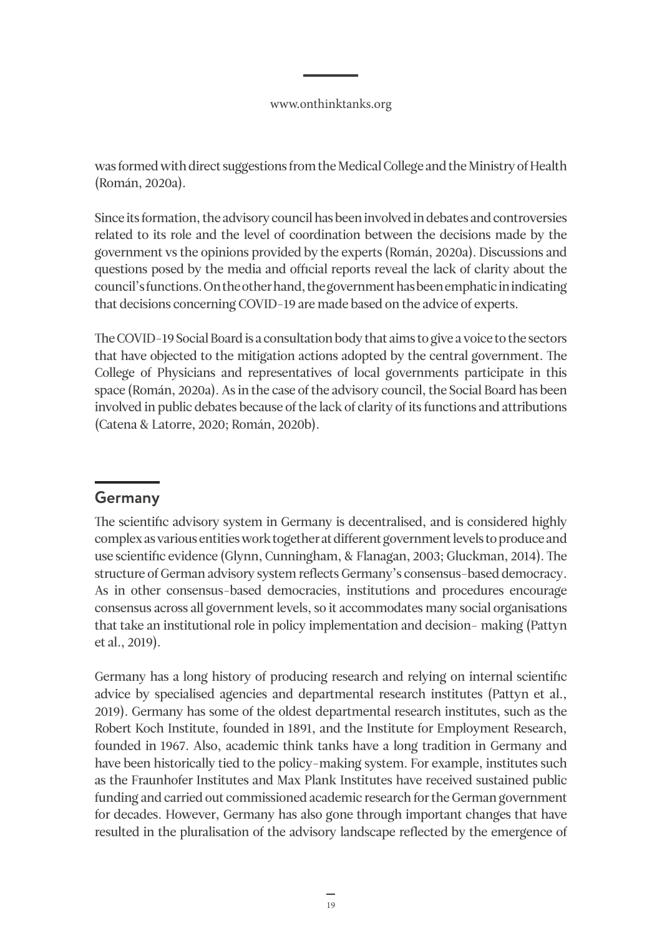<span id="page-18-0"></span>was formed with direct suggestions from the Medical College and the Ministry of Health (Román, 2020a).

Since its formation, the advisory council has been involved in debates and controversies related to its role and the level of coordination between the decisions made by the government vs the opinions provided by the experts (Román, 2020a). Discussions and questions posed by the media and official reports reveal the lack of clarity about the council's functions. On the other hand, the government has been emphatic in indicating that decisions concerning COVID-19 are made based on the advice of experts.

The COVID-19 Social Board is a consultation body that aims to give a voice to the sectors that have objected to the mitigation actions adopted by the central government. The College of Physicians and representatives of local governments participate in this space (Román, 2020a). As in the case of the advisory council, the Social Board has been involved in public debates because of the lack of clarity of its functions and attributions (Catena & Latorre, 2020; Román, 2020b).

# **Germany**

The scientific advisory system in Germany is decentralised, and is considered highly complex as various entities work together at different government levels to produce and use scientific evidence (Glynn, Cunningham, & Flanagan, 2003; Gluckman, 2014). The structure of German advisory system reflects Germany's consensus-based democracy. As in other consensus-based democracies, institutions and procedures encourage consensus across all government levels, so it accommodates many social organisations that take an institutional role in policy implementation and decision- making (Pattyn et al., 2019).

Germany has a long history of producing research and relying on internal scientific advice by specialised agencies and departmental research institutes (Pattyn et al., 2019). Germany has some of the oldest departmental research institutes, such as the Robert Koch Institute, founded in 1891, and the Institute for Employment Research, founded in 1967. Also, academic think tanks have a long tradition in Germany and have been historically tied to the policy-making system. For example, institutes such as the Fraunhofer Institutes and Max Plank Institutes have received sustained public funding and carried out commissioned academic research for the German government for decades. However, Germany has also gone through important changes that have resulted in the pluralisation of the advisory landscape reflected by the emergence of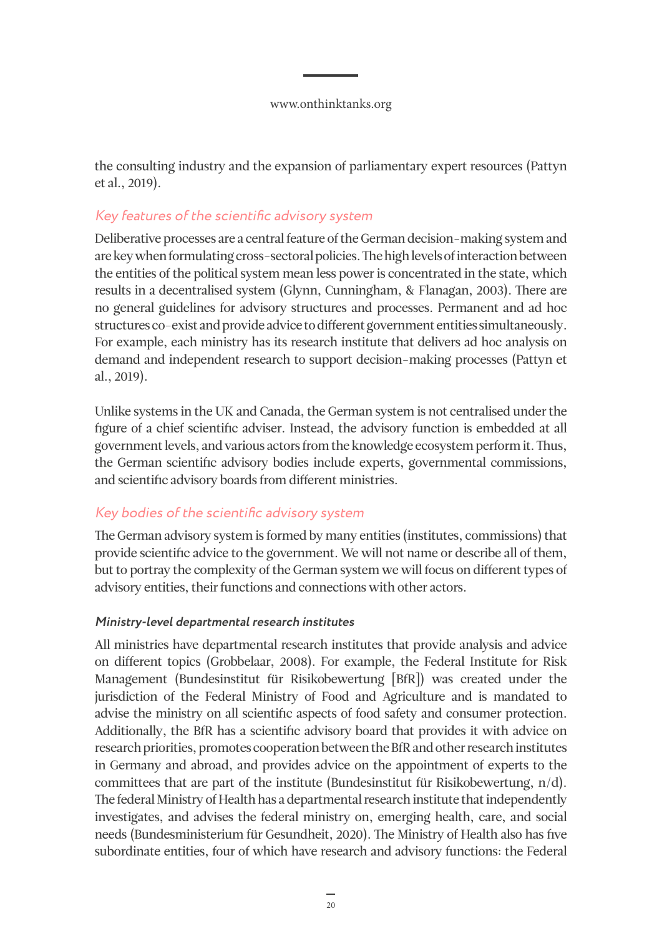<span id="page-19-0"></span>the consulting industry and the expansion of parliamentary expert resources (Pattyn et al., 2019).

### Key features of the scientific advisory system

Deliberative processes are a central feature of the German decision-making system and are key when formulating cross-sectoral policies. The high levels of interaction between the entities of the political system mean less power is concentrated in the state, which results in a decentralised system (Glynn, Cunningham, & Flanagan, 2003). There are no general guidelines for advisory structures and processes. Permanent and ad hoc structures co-exist and provide advice to different government entities simultaneously. For example, each ministry has its research institute that delivers ad hoc analysis on demand and independent research to support decision-making processes (Pattyn et al., 2019).

Unlike systems in the UK and Canada, the German system is not centralised under the figure of a chief scientific adviser. Instead, the advisory function is embedded at all government levels, and various actors from the knowledge ecosystem perform it. Thus, the German scientific advisory bodies include experts, governmental commissions, and scientific advisory boards from different ministries.

### Key bodies of the scientific advisory system

The German advisory system is formed by many entities (institutes, commissions) that provide scientific advice to the government. We will not name or describe all of them, but to portray the complexity of the German system we will focus on different types of advisory entities, their functions and connections with other actors.

### **Ministry-level departmental research institutes**

All ministries have departmental research institutes that provide analysis and advice on different topics (Grobbelaar, 2008). For example, the Federal Institute for Risk Management (Bundesinstitut für Risikobewertung [BfR]) was created under the jurisdiction of the Federal Ministry of Food and Agriculture and is mandated to advise the ministry on all scientific aspects of food safety and consumer protection. Additionally, the BfR has a scientific advisory board that provides it with advice on research priorities, promotes cooperation between the BfR and other research institutes in Germany and abroad, and provides advice on the appointment of experts to the committees that are part of the institute (Bundesinstitut für Risikobewertung, n/d). The federal Ministry of Health has a departmental research institute that independently investigates, and advises the federal ministry on, emerging health, care, and social needs (Bundesministerium für Gesundheit, 2020). The Ministry of Health also has five subordinate entities, four of which have research and advisory functions: the Federal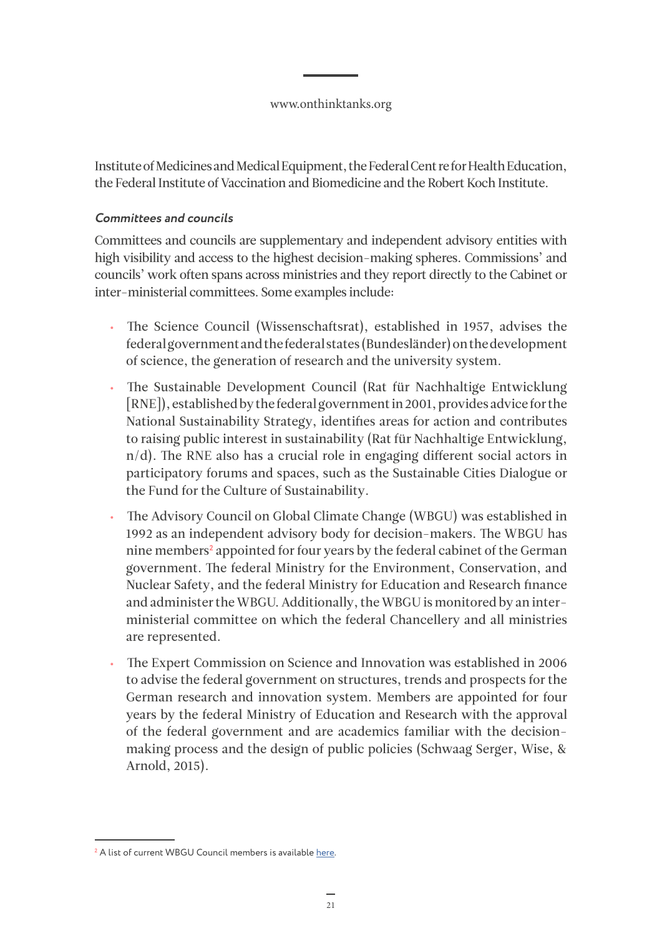Institute of Medicines and Medical Equipment, the Federal Cent re for Health Education, the Federal Institute of Vaccination and Biomedicine and the Robert Koch Institute.

### **Committees and councils**

Committees and councils are supplementary and independent advisory entities with high visibility and access to the highest decision-making spheres. Commissions' and councils' work often spans across ministries and they report directly to the Cabinet or inter-ministerial committees. Some examples include:

- The Science Council (Wissenschaftsrat), established in 1957, advises the federal government and the federal states (Bundesländer) on the development of science, the generation of research and the university system.
- The Sustainable Development Council (Rat für Nachhaltige Entwicklung [RNE]), established by the federal government in 2001, provides advice for the National Sustainability Strategy, identifies areas for action and contributes to raising public interest in sustainability (Rat für Nachhaltige Entwicklung, n/d). The RNE also has a crucial role in engaging different social actors in participatory forums and spaces, such as the Sustainable Cities Dialogue or the Fund for the Culture of Sustainability.
- The Advisory Council on Global Climate Change (WBGU) was established in 1992 as an independent advisory body for decision-makers. The WBGU has nine members**<sup>2</sup>** appointed for four years by the federal cabinet of the German government. The federal Ministry for the Environment, Conservation, and Nuclear Safety, and the federal Ministry for Education and Research finance and administer the WBGU. Additionally, the WBGU is monitored by an interministerial committee on which the federal Chancellery and all ministries are represented.
- The Expert Commission on Science and Innovation was established in 2006 to advise the federal government on structures, trends and prospects for the German research and innovation system. Members are appointed for four years by the federal Ministry of Education and Research with the approval of the federal government and are academics familiar with the decisionmaking process and the design of public policies (Schwaag Serger, Wise, & Arnold, 2015).

**<sup>2</sup>** A list of current WBGU Council members is available [here.](https://www.wbgu.de/en/the-wbgu/current-members-of-the-council)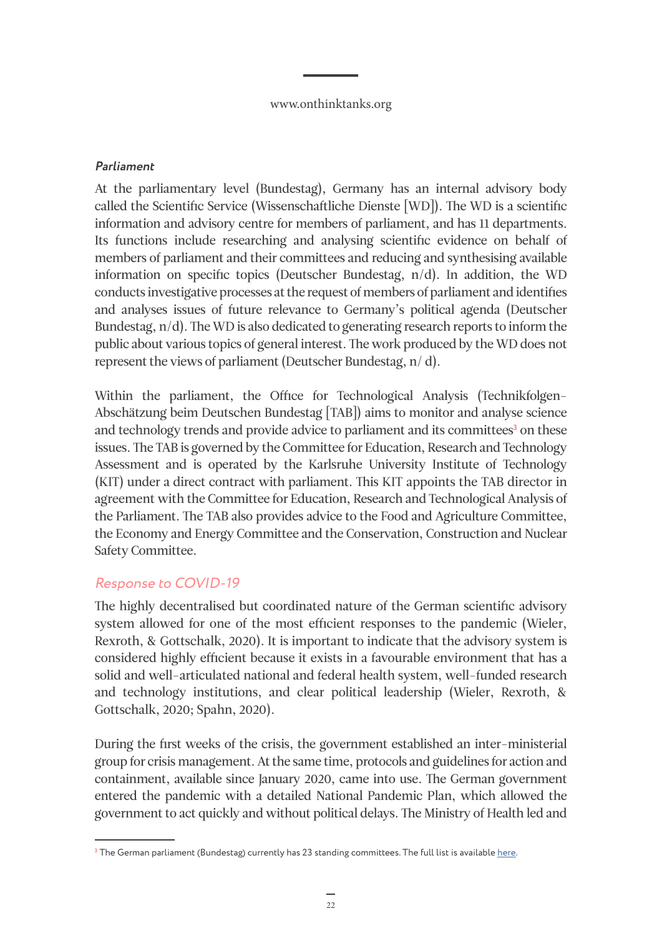#### <span id="page-21-0"></span>**Parliament**

At the parliamentary level (Bundestag), Germany has an internal advisory body called the Scientific Service (Wissenschaftliche Dienste [WD]). The WD is a scientific information and advisory centre for members of parliament, and has 11 departments. Its functions include researching and analysing scientific evidence on behalf of members of parliament and their committees and reducing and synthesising available information on specific topics (Deutscher Bundestag, n/d). In addition, the WD conducts investigative processes at the request of members of parliament and identifies and analyses issues of future relevance to Germany's political agenda (Deutscher Bundestag, n/d). The WD is also dedicated to generating research reports to inform the public about various topics of general interest. The work produced by the WD does not represent the views of parliament (Deutscher Bundestag, n/ d).

Within the parliament, the Office for Technological Analysis (Technikfolgen-Abschätzung beim Deutschen Bundestag [TAB]) aims to monitor and analyse science and technology trends and provide advice to parliament and its committees<sup>3</sup> on these issues. The TAB is governed by the Committee for Education, Research and Technology Assessment and is operated by the Karlsruhe University Institute of Technology (KIT) under a direct contract with parliament. This KIT appoints the TAB director in agreement with the Committee for Education, Research and Technological Analysis of the Parliament. The TAB also provides advice to the Food and Agriculture Committee, the Economy and Energy Committee and the Conservation, Construction and Nuclear Safety Committee.

### Response to COVID-19

The highly decentralised but coordinated nature of the German scientific advisory system allowed for one of the most efficient responses to the pandemic (Wieler, Rexroth, & Gottschalk, 2020). It is important to indicate that the advisory system is considered highly efficient because it exists in a favourable environment that has a solid and well-articulated national and federal health system, well-funded research and technology institutions, and clear political leadership (Wieler, Rexroth, & Gottschalk, 2020; Spahn, 2020).

During the first weeks of the crisis, the government established an inter-ministerial group for crisis management. At the same time, protocols and guidelines for action and containment, available since January 2020, came into use. The German government entered the pandemic with a detailed National Pandemic Plan, which allowed the government to act quickly and without political delays. The Ministry of Health led and

**<sup>3</sup>** The German parliament (Bundestag) currently has 23 standing committees. The full list is available [here.](https://www.bundestag.de/en/committees)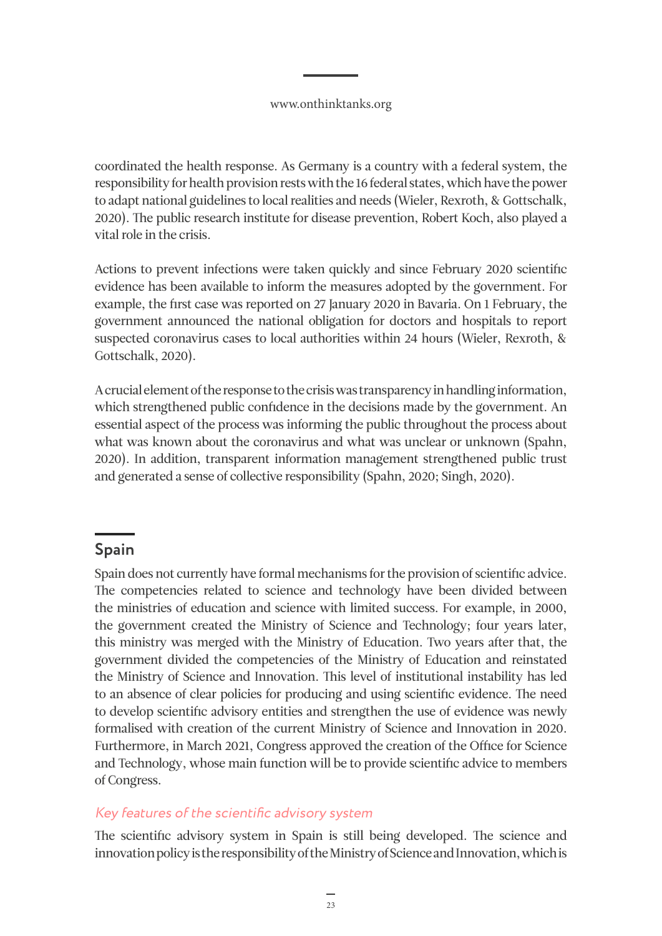<span id="page-22-0"></span>coordinated the health response. As Germany is a country with a federal system, the responsibility for health provision rests with the 16 federal states, which have the power to adapt national guidelines to local realities and needs (Wieler, Rexroth, & Gottschalk, 2020). The public research institute for disease prevention, Robert Koch, also played a vital role in the crisis.

Actions to prevent infections were taken quickly and since February 2020 scientific evidence has been available to inform the measures adopted by the government. For example, the first case was reported on 27 January 2020 in Bavaria. On 1 February, the government announced the national obligation for doctors and hospitals to report suspected coronavirus cases to local authorities within 24 hours (Wieler, Rexroth, & Gottschalk, 2020).

A crucial element of the response to the crisis was transparency in handling information, which strengthened public confidence in the decisions made by the government. An essential aspect of the process was informing the public throughout the process about what was known about the coronavirus and what was unclear or unknown (Spahn, 2020). In addition, transparent information management strengthened public trust and generated a sense of collective responsibility (Spahn, 2020; Singh, 2020).

# **Spain**

Spain does not currently have formal mechanisms for the provision of scientific advice. The competencies related to science and technology have been divided between the ministries of education and science with limited success. For example, in 2000, the government created the Ministry of Science and Technology; four years later, this ministry was merged with the Ministry of Education. Two years after that, the government divided the competencies of the Ministry of Education and reinstated the Ministry of Science and Innovation. This level of institutional instability has led to an absence of clear policies for producing and using scientific evidence. The need to develop scientific advisory entities and strengthen the use of evidence was newly formalised with creation of the current Ministry of Science and Innovation in 2020. Furthermore, in March 2021, Congress approved the creation of the Office for Science and Technology, whose main function will be to provide scientific advice to members of Congress.

## Key features of the scientific advisory system

The scientific advisory system in Spain is still being developed. The science and innovation policy is the responsibility of the Ministry of Science and Innovation, which is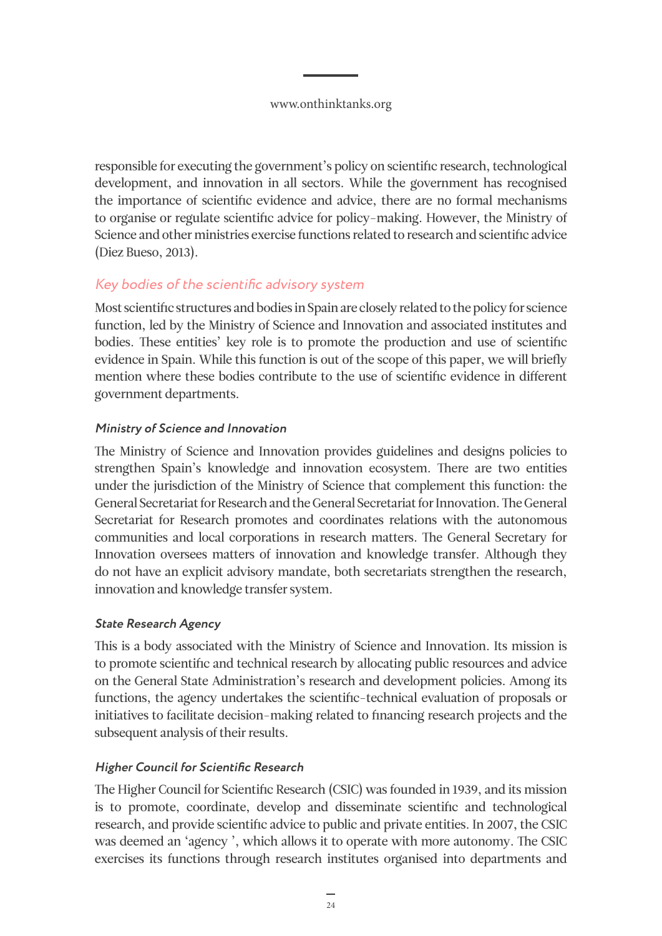<span id="page-23-0"></span>responsible for executing the government's policy on scientific research, technological development, and innovation in all sectors. While the government has recognised the importance of scientific evidence and advice, there are no formal mechanisms to organise or regulate scientific advice for policy-making. However, the Ministry of Science and other ministries exercise functions related to research and scientific advice (Diez Bueso, 2013).

### Key bodies of the scientific advisory system

Most scientific structures and bodies in Spain are closely related to the policy for science function, led by the Ministry of Science and Innovation and associated institutes and bodies. These entities' key role is to promote the production and use of scientific evidence in Spain. While this function is out of the scope of this paper, we will briefly mention where these bodies contribute to the use of scientific evidence in different government departments.

### **Ministry of Science and Innovation**

The Ministry of Science and Innovation provides guidelines and designs policies to strengthen Spain's knowledge and innovation ecosystem. There are two entities under the jurisdiction of the Ministry of Science that complement this function: the General Secretariat for Research and the General Secretariat for Innovation. The General Secretariat for Research promotes and coordinates relations with the autonomous communities and local corporations in research matters. The General Secretary for Innovation oversees matters of innovation and knowledge transfer. Although they do not have an explicit advisory mandate, both secretariats strengthen the research, innovation and knowledge transfer system.

### **State Research Agency**

This is a body associated with the Ministry of Science and Innovation. Its mission is to promote scientific and technical research by allocating public resources and advice on the General State Administration's research and development policies. Among its functions, the agency undertakes the scientific-technical evaluation of proposals or initiatives to facilitate decision-making related to financing research projects and the subsequent analysis of their results.

### **Higher Council for Scientific Research**

The Higher Council for Scientific Research (CSIC) was founded in 1939, and its mission is to promote, coordinate, develop and disseminate scientific and technological research, and provide scientific advice to public and private entities. In 2007, the CSIC was deemed an 'agency ', which allows it to operate with more autonomy. The CSIC exercises its functions through research institutes organised into departments and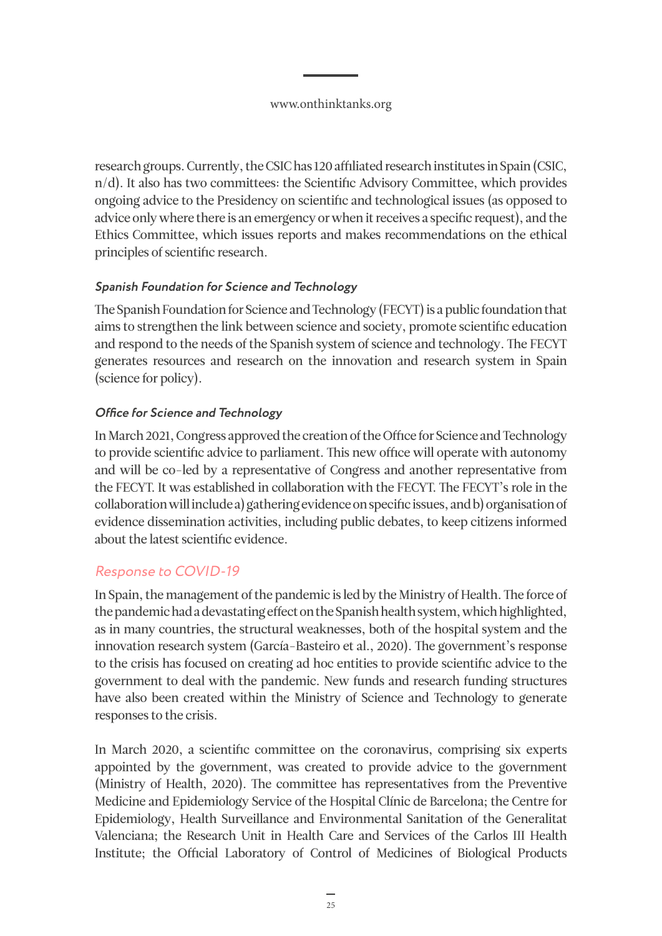<span id="page-24-0"></span>research groups. Currently, the CSIC has 120 affiliated research institutes in Spain (CSIC, n/d). It also has two committees: the Scientific Advisory Committee, which provides ongoing advice to the Presidency on scientific and technological issues (as opposed to advice only where there is an emergency or when it receives a specific request), and the Ethics Committee, which issues reports and makes recommendations on the ethical principles of scientific research.

### **Spanish Foundation for Science and Technology**

The Spanish Foundation for Science and Technology (FECYT) is a public foundation that aims to strengthen the link between science and society, promote scientific education and respond to the needs of the Spanish system of science and technology. The FECYT generates resources and research on the innovation and research system in Spain (science for policy).

### **Office for Science and Technology**

In March 2021, Congress approved the creation of the Office for Science and Technology to provide scientific advice to parliament. This new office will operate with autonomy and will be co-led by a representative of Congress and another representative from the FECYT. It was established in collaboration with the FECYT. The FECYT's role in the collaboration will include a) gathering evidence on specific issues, and b) organisation of evidence dissemination activities, including public debates, to keep citizens informed about the latest scientific evidence.

### Response to COVID-19

In Spain, the management of the pandemic is led by the Ministry of Health. The force of the pandemic had a devastating effect on the Spanish health system, which highlighted, as in many countries, the structural weaknesses, both of the hospital system and the innovation research system (García-Basteiro et al., 2020). The government's response to the crisis has focused on creating ad hoc entities to provide scientific advice to the government to deal with the pandemic. New funds and research funding structures have also been created within the Ministry of Science and Technology to generate responses to the crisis.

In March 2020, a scientific committee on the coronavirus, comprising six experts appointed by the government, was created to provide advice to the government (Ministry of Health, 2020). The committee has representatives from the Preventive Medicine and Epidemiology Service of the Hospital Clínic de Barcelona; the Centre for Epidemiology, Health Surveillance and Environmental Sanitation of the Generalitat Valenciana; the Research Unit in Health Care and Services of the Carlos III Health Institute; the Official Laboratory of Control of Medicines of Biological Products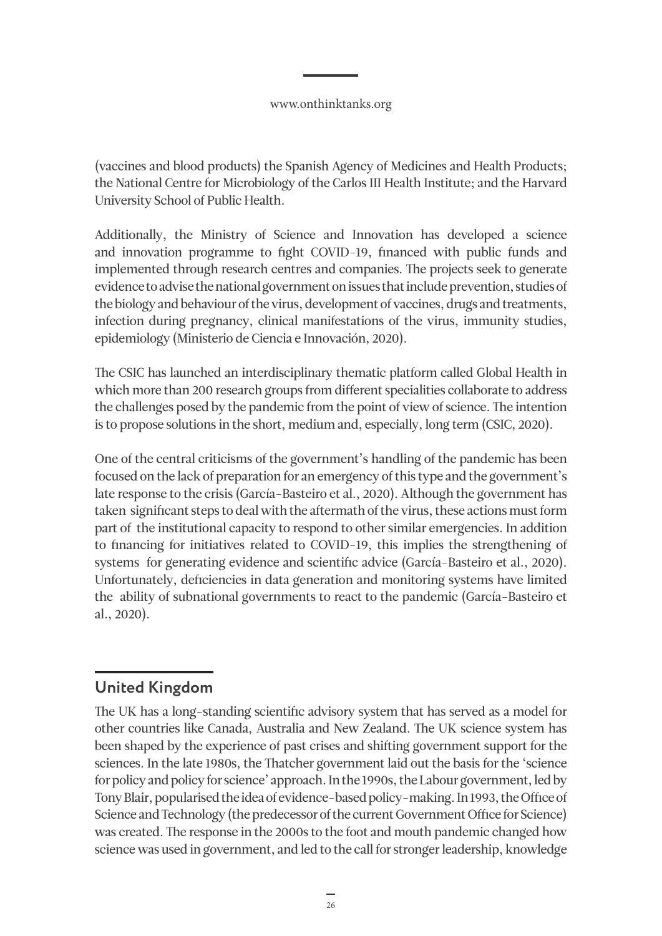<span id="page-25-0"></span>(vaccines and blood products) the Spanish Agency of Medicines and Health Products; the National Centre for Microbiology of the Carlos III Health Institute; and the Harvard University School of Public Health.

Additionally, the Ministry of Science and Innovation has developed a science and innovation programme to fight COVID-19, financed with public funds and implemented through research centres and companies. The projects seek to generate evidence to advise the national government on issues that include prevention, studies of the biology and behaviour of the virus, development of vaccines, drugs and treatments, infection during pregnancy, clinical manifestations of the virus, immunity studies, epidemiology (Ministerio de Ciencia e Innovación, 2020).

The CSIC has launched an interdisciplinary thematic platform called Global Health in which more than 200 research groups from different specialities collaborate to address the challenges posed by the pandemic from the point of view of science. The intention is to propose solutions in the short, medium and, especially, long term (CSIC, 2020).

One of the central criticisms of the government's handling of the pandemic has been focused on the lack of preparation for an emergency of this type and the government's late response to the crisis (García-Basteiro et al., 2020). Although the government has taken significant steps to deal with the aftermath of the virus, these actions must form part of the institutional capacity to respond to other similar emergencies. In addition to financing for initiatives related to COVID-19, this implies the strengthening of systems for generating evidence and scientific advice (García-Basteiro et al., 2020). Unfortunately, deficiencies in data generation and monitoring systems have limited the ability of subnational governments to react to the pandemic (García-Basteiro et al., 2020).

# **United Kingdom**

The UK has a long-standing scientific advisory system that has served as a model for other countries like Canada, Australia and New Zealand. The UK science system has been shaped by the experience of past crises and shifting government support for the sciences. In the late 1980s, the Thatcher government laid out the basis for the 'science for policy and policy for science' approach. In the 1990s, the Labour government, led by Tony Blair, popularised the idea of evidence-based policy-making. In 1993, the Office of Science and Technology (the predecessor of the current Government Office for Science) was created. The response in the 2000s to the foot and mouth pandemic changed how science was used in government, and led to the call for stronger leadership, knowledge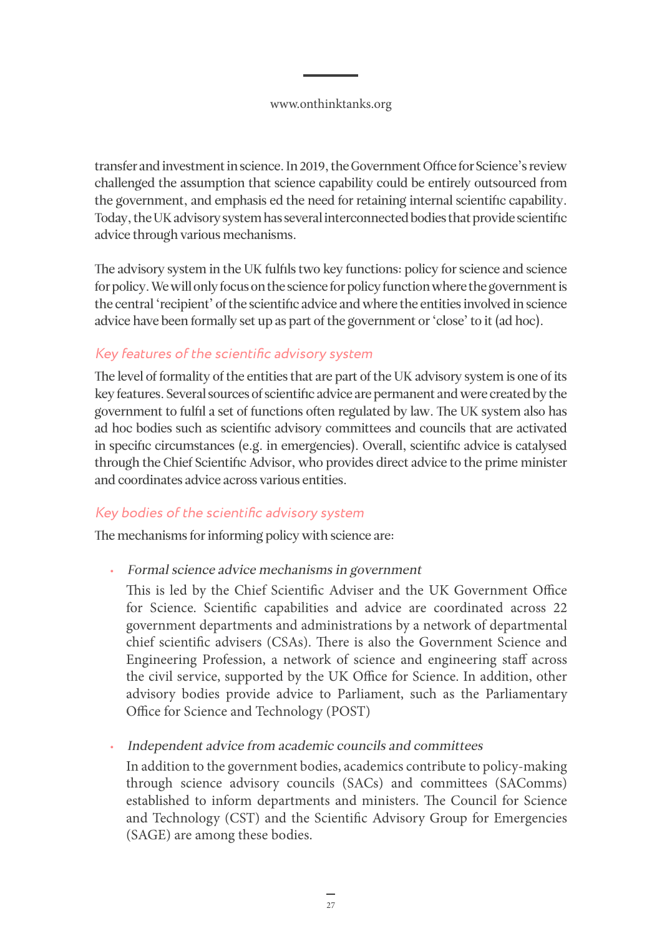<span id="page-26-0"></span>transfer and investment in science. In 2019, the Government Office for Science's review challenged the assumption that science capability could be entirely outsourced from the government, and emphasis ed the need for retaining internal scientific capability. Today, the UK advisory system has several interconnected bodies that provide scientific advice through various mechanisms.

The advisory system in the UK fulfils two key functions: policy for science and science for policy. We will only focus on the science for policy function where the government is the central 'recipient' of the scientific advice and where the entities involved in science advice have been formally set up as part of the government or 'close' to it (ad hoc).

### Key features of the scientific advisory system

The level of formality of the entities that are part of the UK advisory system is one of its key features. Several sources of scientific advice are permanent and were created by the government to fulfil a set of functions often regulated by law. The UK system also has ad hoc bodies such as scientific advisory committees and councils that are activated in specific circumstances (e.g. in emergencies). Overall, scientific advice is catalysed through the Chief Scientific Advisor, who provides direct advice to the prime minister and coordinates advice across various entities.

### Key bodies of the scientific advisory system

The mechanisms for informing policy with science are:

- Formal science advice mechanisms in government
	- This is led by the Chief Scientific Adviser and the UK Government Office for Science. Scientific capabilities and advice are coordinated across 22 government departments and administrations by a network of departmental chief scientific advisers (CSAs). There is also the Government Science and Engineering Profession, a network of science and engineering staff across the civil service, supported by the UK Office for Science. In addition, other advisory bodies provide advice to Parliament, such as the Parliamentary Office for Science and Technology (POST)

• Independent advice from academic councils and committees

In addition to the government bodies, academics contribute to policy-making through science advisory councils (SACs) and committees (SAComms) established to inform departments and ministers. The Council for Science and Technology (CST) and the Scientific Advisory Group for Emergencies (SAGE) are among these bodies.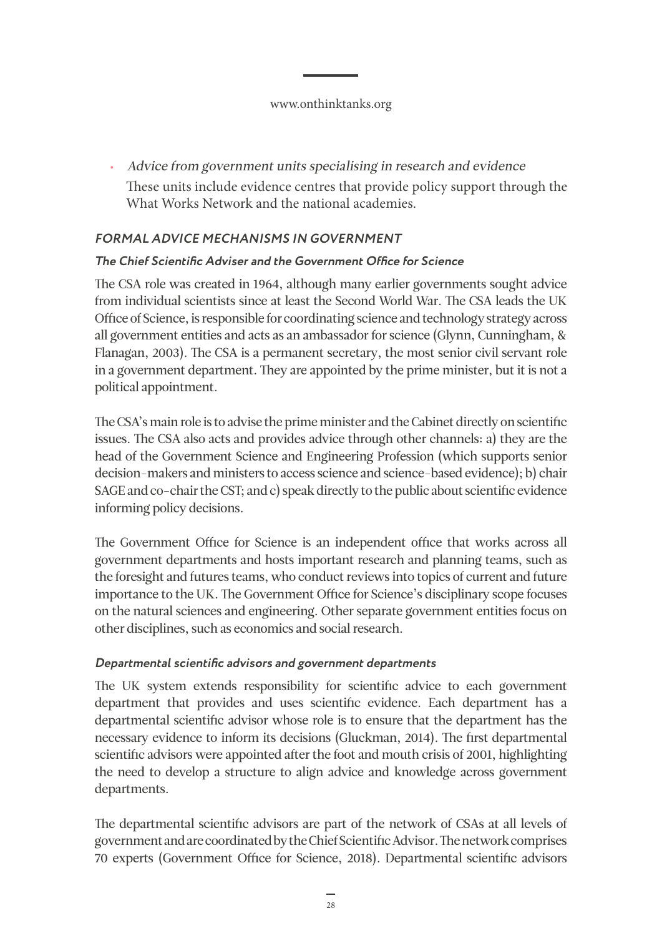• Advice from government units specialising in research and evidence These units include evidence centres that provide policy support through the What Works Network and the national academies.

### **FORMAL ADVICE MECHANISMS IN GOVERNMENT**

### **The Chief Scientific Adviser and the Government Office for Science**

The CSA role was created in 1964, although many earlier governments sought advice from individual scientists since at least the Second World War. The CSA leads the UK Office of Science, is responsible for coordinating science and technology strategy across all government entities and acts as an ambassador for science (Glynn, Cunningham, & Flanagan, 2003). The CSA is a permanent secretary, the most senior civil servant role in a government department. They are appointed by the prime minister, but it is not a political appointment.

The CSA's main role is to advise the prime minister and the Cabinet directly on scientific issues. The CSA also acts and provides advice through other channels: a) they are the head of the Government Science and Engineering Profession (which supports senior decision-makers and ministers to access science and science-based evidence); b) chair SAGE and co-chair the CST; and c) speak directly to the public about scientific evidence informing policy decisions.

The Government Office for Science is an independent office that works across all government departments and hosts important research and planning teams, such as the foresight and futures teams, who conduct reviews into topics of current and future importance to the UK. The Government Office for Science's disciplinary scope focuses on the natural sciences and engineering. Other separate government entities focus on other disciplines, such as economics and social research.

### **Departmental scientific advisors and government departments**

The UK system extends responsibility for scientific advice to each government department that provides and uses scientific evidence. Each department has a departmental scientific advisor whose role is to ensure that the department has the necessary evidence to inform its decisions (Gluckman, 2014). The first departmental scientific advisors were appointed after the foot and mouth crisis of 2001, highlighting the need to develop a structure to align advice and knowledge across government departments.

The departmental scientific advisors are part of the network of CSAs at all levels of government and are coordinated by the Chief Scientific Advisor. The network comprises 70 experts (Government Office for Science, 2018). Departmental scientific advisors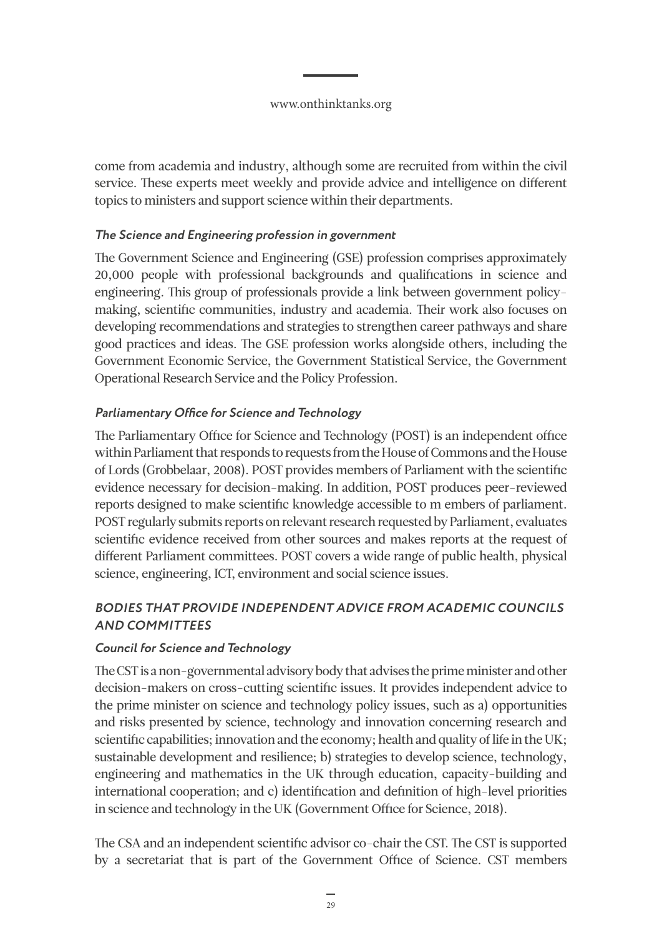come from academia and industry, although some are recruited from within the civil service. These experts meet weekly and provide advice and intelligence on different topics to ministers and support science within their departments.

### **The Science and Engineering profession in government**

The Government Science and Engineering (GSE) profession comprises approximately 20,000 people with professional backgrounds and qualifications in science and engineering. This group of professionals provide a link between government policymaking, scientific communities, industry and academia. Their work also focuses on developing recommendations and strategies to strengthen career pathways and share good practices and ideas. The GSE profession works alongside others, including the Government Economic Service, the Government Statistical Service, the Government Operational Research Service and the Policy Profession.

### **Parliamentary Office for Science and Technology**

The Parliamentary Office for Science and Technology (POST) is an independent office within Parliament that responds to requests from the House of Commons and the House of Lords (Grobbelaar, 2008). POST provides members of Parliament with the scientific evidence necessary for decision-making. In addition, POST produces peer-reviewed reports designed to make scientific knowledge accessible to m embers of parliament. POST regularly submits reports on relevant research requested by Parliament, evaluates scientific evidence received from other sources and makes reports at the request of different Parliament committees. POST covers a wide range of public health, physical science, engineering, ICT, environment and social science issues.

## **BODIES THAT PROVIDE INDEPENDENT ADVICE FROM ACADEMIC COUNCILS AND COMMITTEES**

### **Council for Science and Technology**

The CST is a non-governmental advisory body that advises the prime minister and other decision-makers on cross-cutting scientific issues. It provides independent advice to the prime minister on science and technology policy issues, such as a) opportunities and risks presented by science, technology and innovation concerning research and scientific capabilities; innovation and the economy; health and quality of life in the UK; sustainable development and resilience; b) strategies to develop science, technology, engineering and mathematics in the UK through education, capacity-building and international cooperation; and c) identification and definition of high-level priorities in science and technology in the UK (Government Office for Science, 2018).

The CSA and an independent scientific advisor co-chair the CST. The CST is supported by a secretariat that is part of the Government Office of Science. CST members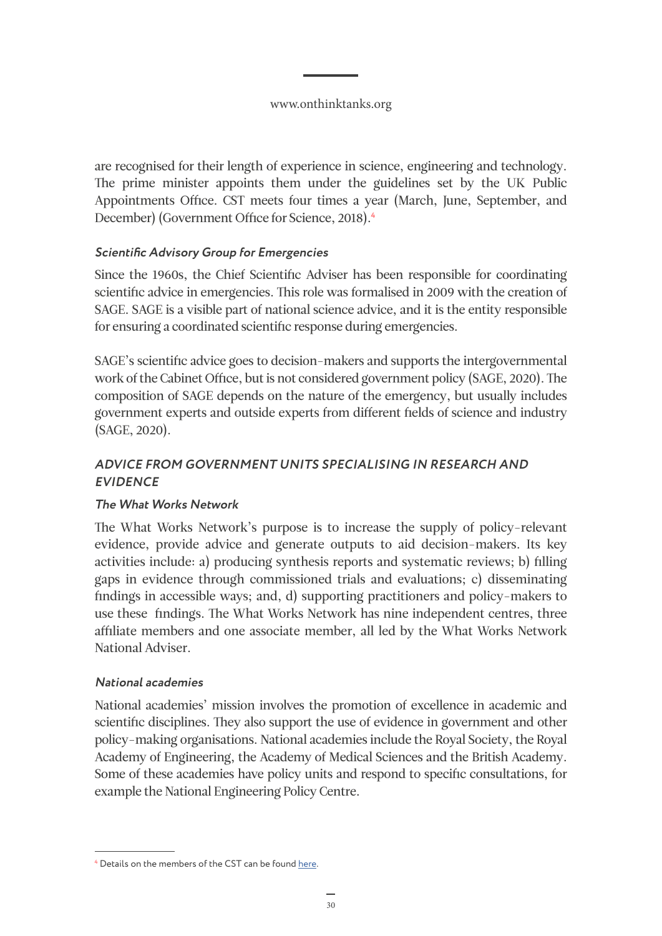are recognised for their length of experience in science, engineering and technology. The prime minister appoints them under the guidelines set by the UK Public Appointments Office. CST meets four times a year (March, June, September, and December) (Government Office for Science, 2018).**<sup>4</sup>**

### **Scientific Advisory Group for Emergencies**

Since the 1960s, the Chief Scientific Adviser has been responsible for coordinating scientific advice in emergencies. This role was formalised in 2009 with the creation of SAGE. SAGE is a visible part of national science advice, and it is the entity responsible for ensuring a coordinated scientific response during emergencies.

SAGE's scientific advice goes to decision-makers and supports the intergovernmental work of the Cabinet Office, but is not considered government policy (SAGE, 2020). The composition of SAGE depends on the nature of the emergency, but usually includes government experts and outside experts from different fields of science and industry (SAGE, 2020).

## **ADVICE FROM GOVERNMENT UNITS SPECIALISING IN RESEARCH AND EVIDENCE**

### **The What Works Network**

The What Works Network's purpose is to increase the supply of policy-relevant evidence, provide advice and generate outputs to aid decision-makers. Its key activities include: a) producing synthesis reports and systematic reviews; b) filling gaps in evidence through commissioned trials and evaluations; c) disseminating findings in accessible ways; and, d) supporting practitioners and policy-makers to use these findings. The What Works Network has nine independent centres, three affiliate members and one associate member, all led by the What Works Network National Adviser.

### **National academies**

National academies' mission involves the promotion of excellence in academic and scientific disciplines. They also support the use of evidence in government and other policy-making organisations. National academies include the Royal Society, the Royal Academy of Engineering, the Academy of Medical Sciences and the British Academy. Some of these academies have policy units and respond to specific consultations, for example the National Engineering Policy Centre.

**<sup>4</sup>** Details on the members of the CST can be found [here.](https://www.gov.uk/government/organisations/council-for-science-and-technology/about/membership)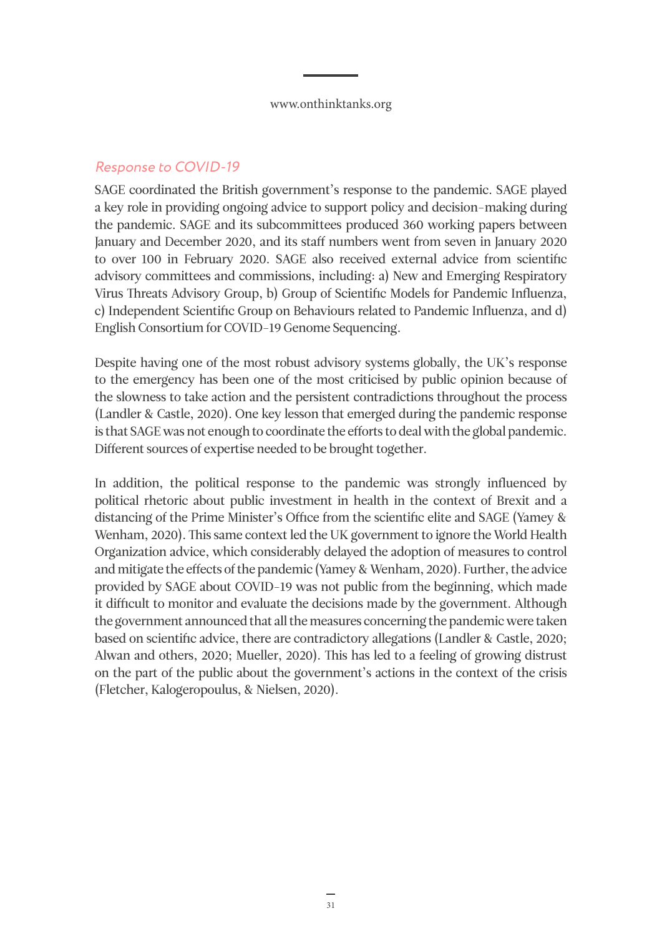## <span id="page-30-0"></span>Response to COVID-19

SAGE coordinated the British government's response to the pandemic. SAGE played a key role in providing ongoing advice to support policy and decision-making during the pandemic. SAGE and its subcommittees produced 360 working papers between January and December 2020, and its staff numbers went from seven in January 2020 to over 100 in February 2020. SAGE also received external advice from scientific advisory committees and commissions, including: a) New and Emerging Respiratory Virus Threats Advisory Group, b) Group of Scientific Models for Pandemic Influenza, c) Independent Scientific Group on Behaviours related to Pandemic Influenza, and d) English Consortium for COVID-19 Genome Sequencing.

Despite having one of the most robust advisory systems globally, the UK's response to the emergency has been one of the most criticised by public opinion because of the slowness to take action and the persistent contradictions throughout the process (Landler & Castle, 2020). One key lesson that emerged during the pandemic response is that SAGE was not enough to coordinate the efforts to deal with the global pandemic. Different sources of expertise needed to be brought together.

In addition, the political response to the pandemic was strongly influenced by political rhetoric about public investment in health in the context of Brexit and a distancing of the Prime Minister's Office from the scientific elite and SAGE (Yamey & Wenham, 2020). This same context led the UK government to ignore the World Health Organization advice, which considerably delayed the adoption of measures to control and mitigate the effects of the pandemic (Yamey & Wenham, 2020). Further, the advice provided by SAGE about COVID-19 was not public from the beginning, which made it difficult to monitor and evaluate the decisions made by the government. Although the government announced that all the measures concerning the pandemic were taken based on scientific advice, there are contradictory allegations (Landler & Castle, 2020; Alwan and others, 2020; Mueller, 2020). This has led to a feeling of growing distrust on the part of the public about the government's actions in the context of the crisis (Fletcher, Kalogeropoulus, & Nielsen, 2020).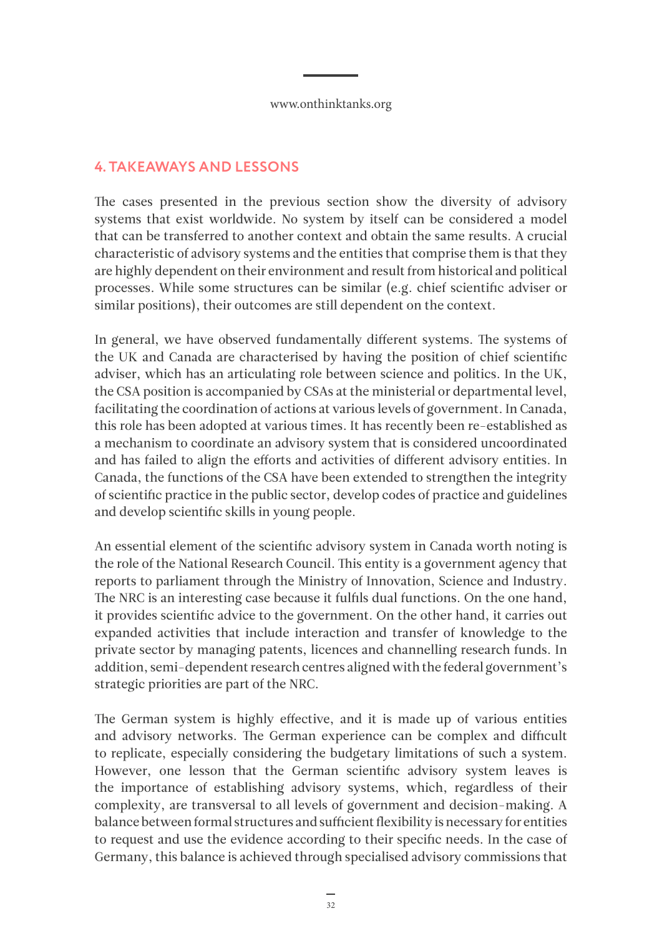## <span id="page-31-0"></span>**4. TAKEAWAYS AND LESSONS**

The cases presented in the previous section show the diversity of advisory systems that exist worldwide. No system by itself can be considered a model that can be transferred to another context and obtain the same results. A crucial characteristic of advisory systems and the entities that comprise them is that they are highly dependent on their environment and result from historical and political processes. While some structures can be similar (e.g. chief scientific adviser or similar positions), their outcomes are still dependent on the context.

In general, we have observed fundamentally different systems. The systems of the UK and Canada are characterised by having the position of chief scientific adviser, which has an articulating role between science and politics. In the UK, the CSA position is accompanied by CSAs at the ministerial or departmental level, facilitating the coordination of actions at various levels of government. In Canada, this role has been adopted at various times. It has recently been re-established as a mechanism to coordinate an advisory system that is considered uncoordinated and has failed to align the efforts and activities of different advisory entities. In Canada, the functions of the CSA have been extended to strengthen the integrity of scientific practice in the public sector, develop codes of practice and guidelines and develop scientific skills in young people.

An essential element of the scientific advisory system in Canada worth noting is the role of the National Research Council. This entity is a government agency that reports to parliament through the Ministry of Innovation, Science and Industry. The NRC is an interesting case because it fulfils dual functions. On the one hand, it provides scientific advice to the government. On the other hand, it carries out expanded activities that include interaction and transfer of knowledge to the private sector by managing patents, licences and channelling research funds. In addition, semi-dependent research centres aligned with the federal government's strategic priorities are part of the NRC.

The German system is highly effective, and it is made up of various entities and advisory networks. The German experience can be complex and difficult to replicate, especially considering the budgetary limitations of such a system. However, one lesson that the German scientific advisory system leaves is the importance of establishing advisory systems, which, regardless of their complexity, are transversal to all levels of government and decision-making. A balance between formal structures and sufficient flexibility is necessary for entities to request and use the evidence according to their specific needs. In the case of Germany, this balance is achieved through specialised advisory commissions that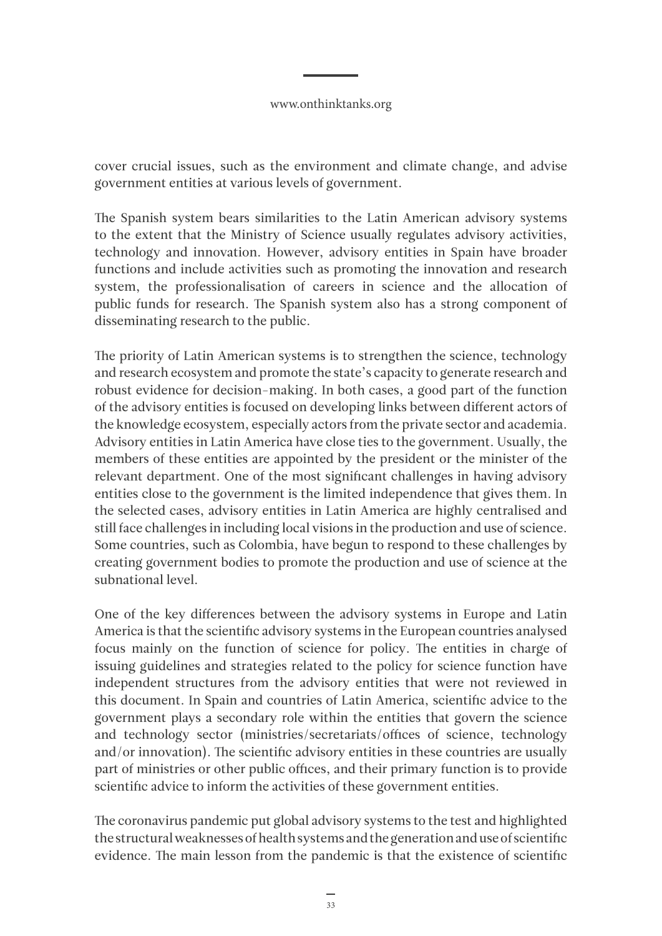cover crucial issues, such as the environment and climate change, and advise government entities at various levels of government.

The Spanish system bears similarities to the Latin American advisory systems to the extent that the Ministry of Science usually regulates advisory activities, technology and innovation. However, advisory entities in Spain have broader functions and include activities such as promoting the innovation and research system, the professionalisation of careers in science and the allocation of public funds for research. The Spanish system also has a strong component of disseminating research to the public.

The priority of Latin American systems is to strengthen the science, technology and research ecosystem and promote the state's capacity to generate research and robust evidence for decision-making. In both cases, a good part of the function of the advisory entities is focused on developing links between different actors of the knowledge ecosystem, especially actors from the private sector and academia. Advisory entities in Latin America have close ties to the government. Usually, the members of these entities are appointed by the president or the minister of the relevant department. One of the most significant challenges in having advisory entities close to the government is the limited independence that gives them. In the selected cases, advisory entities in Latin America are highly centralised and still face challenges in including local visions in the production and use of science. Some countries, such as Colombia, have begun to respond to these challenges by creating government bodies to promote the production and use of science at the subnational level.

One of the key differences between the advisory systems in Europe and Latin America is that the scientific advisory systems in the European countries analysed focus mainly on the function of science for policy. The entities in charge of issuing guidelines and strategies related to the policy for science function have independent structures from the advisory entities that were not reviewed in this document. In Spain and countries of Latin America, scientific advice to the government plays a secondary role within the entities that govern the science and technology sector (ministries/secretariats/offices of science, technology and/or innovation). The scientific advisory entities in these countries are usually part of ministries or other public offices, and their primary function is to provide scientific advice to inform the activities of these government entities.

The coronavirus pandemic put global advisory systems to the test and highlighted the structural weaknesses of health systems and the generation and use of scientific evidence. The main lesson from the pandemic is that the existence of scientific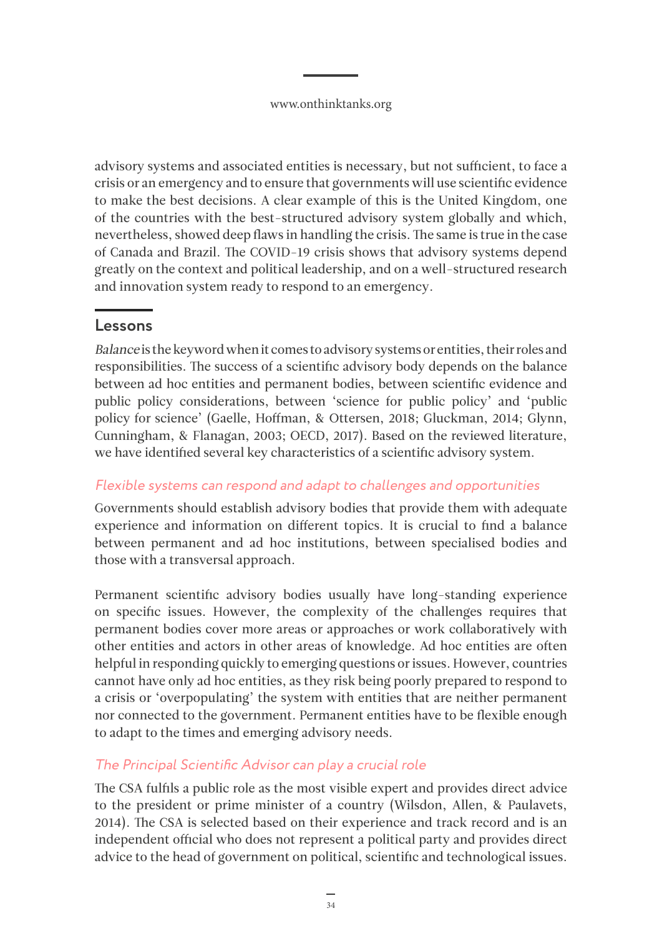<span id="page-33-0"></span>advisory systems and associated entities is necessary, but not sufficient, to face a crisis or an emergency and to ensure that governments will use scientific evidence to make the best decisions. A clear example of this is the United Kingdom, one of the countries with the best-structured advisory system globally and which, nevertheless, showed deep flaws in handling the crisis. The same is true in the case of Canada and Brazil. The COVID-19 crisis shows that advisory systems depend greatly on the context and political leadership, and on a well-structured research and innovation system ready to respond to an emergency.

## **Lessons**

Balance is the keyword when it comes to advisory systems or entities, their roles and responsibilities. The success of a scientific advisory body depends on the balance between ad hoc entities and permanent bodies, between scientific evidence and public policy considerations, between 'science for public policy' and 'public policy for science' (Gaelle, Hoffman, & Ottersen, 2018; Gluckman, 2014; Glynn, Cunningham, & Flanagan, 2003; OECD, 2017). Based on the reviewed literature, we have identified several key characteristics of a scientific advisory system.

### Flexible systems can respond and adapt to challenges and opportunities

Governments should establish advisory bodies that provide them with adequate experience and information on different topics. It is crucial to find a balance between permanent and ad hoc institutions, between specialised bodies and those with a transversal approach.

Permanent scientific advisory bodies usually have long-standing experience on specific issues. However, the complexity of the challenges requires that permanent bodies cover more areas or approaches or work collaboratively with other entities and actors in other areas of knowledge. Ad hoc entities are often helpful in responding quickly to emerging questions or issues. However, countries cannot have only ad hoc entities, as they risk being poorly prepared to respond to a crisis or 'overpopulating' the system with entities that are neither permanent nor connected to the government. Permanent entities have to be flexible enough to adapt to the times and emerging advisory needs.

## The Principal Scientific Advisor can play a crucial role

The CSA fulfils a public role as the most visible expert and provides direct advice to the president or prime minister of a country (Wilsdon, Allen, & Paulavets, 2014). The CSA is selected based on their experience and track record and is an independent official who does not represent a political party and provides direct advice to the head of government on political, scientific and technological issues.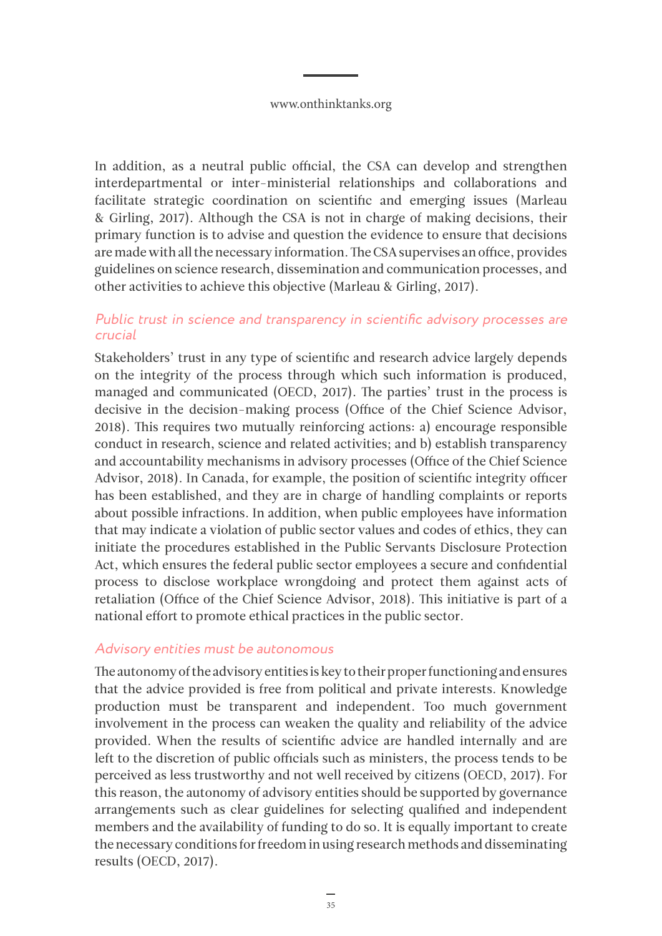<span id="page-34-0"></span>In addition, as a neutral public official, the CSA can develop and strengthen interdepartmental or inter-ministerial relationships and collaborations and facilitate strategic coordination on scientific and emerging issues (Marleau & Girling, 2017). Although the CSA is not in charge of making decisions, their primary function is to advise and question the evidence to ensure that decisions are made with all the necessary information. The CSA supervises an office, provides guidelines on science research, dissemination and communication processes, and other activities to achieve this objective (Marleau & Girling, 2017).

#### Public trust in science and transparency in scientific advisory processes are crucial

Stakeholders' trust in any type of scientific and research advice largely depends on the integrity of the process through which such information is produced, managed and communicated (OECD, 2017). The parties' trust in the process is decisive in the decision-making process (Office of the Chief Science Advisor, 2018). This requires two mutually reinforcing actions: a) encourage responsible conduct in research, science and related activities; and b) establish transparency and accountability mechanisms in advisory processes (Office of the Chief Science Advisor, 2018). In Canada, for example, the position of scientific integrity officer has been established, and they are in charge of handling complaints or reports about possible infractions. In addition, when public employees have information that may indicate a violation of public sector values and codes of ethics, they can initiate the procedures established in the Public Servants Disclosure Protection Act, which ensures the federal public sector employees a secure and confidential process to disclose workplace wrongdoing and protect them against acts of retaliation (Office of the Chief Science Advisor, 2018). This initiative is part of a national effort to promote ethical practices in the public sector.

#### Advisory entities must be autonomous

The autonomy of the advisory entities is key to their proper functioning and ensures that the advice provided is free from political and private interests. Knowledge production must be transparent and independent. Too much government involvement in the process can weaken the quality and reliability of the advice provided. When the results of scientific advice are handled internally and are left to the discretion of public officials such as ministers, the process tends to be perceived as less trustworthy and not well received by citizens (OECD, 2017). For this reason, the autonomy of advisory entities should be supported by governance arrangements such as clear guidelines for selecting qualified and independent members and the availability of funding to do so. It is equally important to create the necessary conditions for freedom in using research methods and disseminating results (OECD, 2017).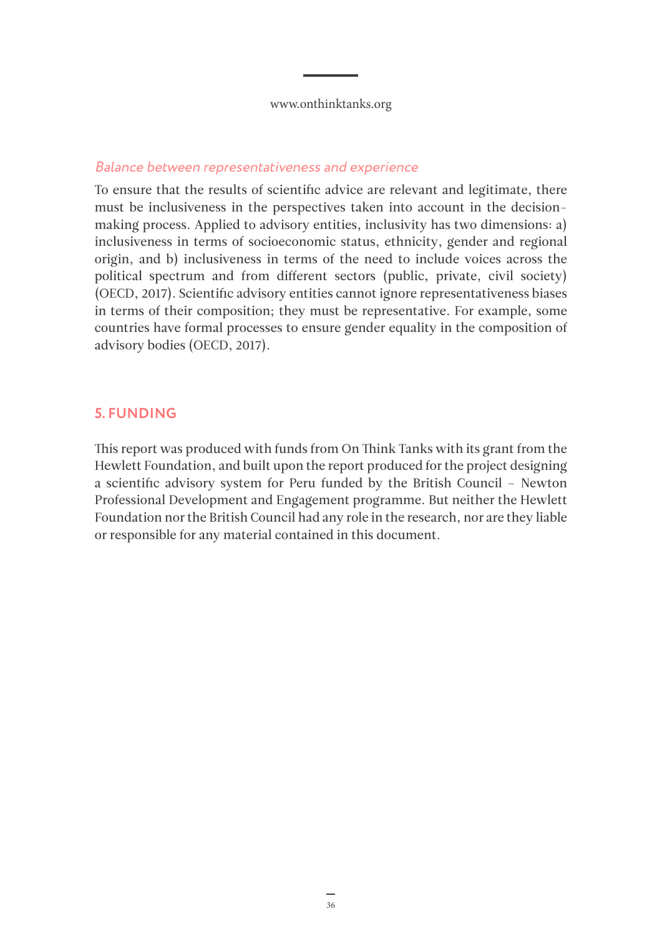#### <span id="page-35-0"></span>Balance between representativeness and experience

To ensure that the results of scientific advice are relevant and legitimate, there must be inclusiveness in the perspectives taken into account in the decisionmaking process. Applied to advisory entities, inclusivity has two dimensions: a) inclusiveness in terms of socioeconomic status, ethnicity, gender and regional origin, and b) inclusiveness in terms of the need to include voices across the political spectrum and from different sectors (public, private, civil society) (OECD, 2017). Scientific advisory entities cannot ignore representativeness biases in terms of their composition; they must be representative. For example, some countries have formal processes to ensure gender equality in the composition of advisory bodies (OECD, 2017).

### **5. FUNDING**

This report was produced with funds from On Think Tanks with its grant from the Hewlett Foundation, and built upon the report produced for the project designing a scientific advisory system for Peru funded by the British Council – Newton Professional Development and Engagement programme. But neither the Hewlett Foundation nor the British Council had any role in the research, nor are they liable or responsible for any material contained in this document.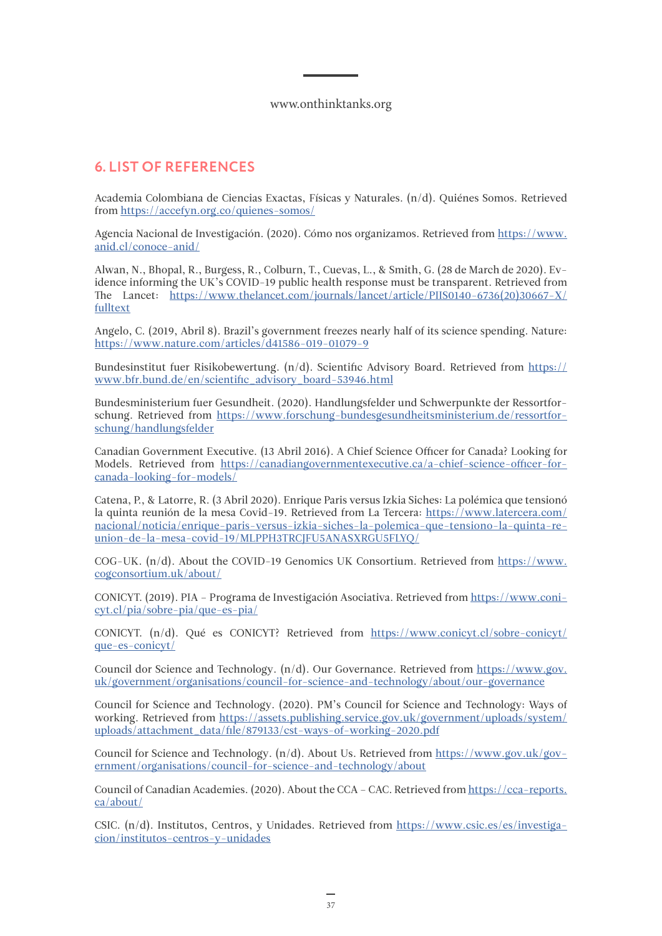### <span id="page-36-0"></span>**6. LIST OF REFERENCES**

Academia Colombiana de Ciencias Exactas, Físicas y Naturales. (n/d). Quiénes Somos. Retrieved from<https://accefyn.org.co/quienes-somos/>

Agencia Nacional de Investigación. (2020). Cómo nos organizamos. Retrieved from [https://www.](https://www.anid.cl/conoce-anid/) [anid.cl/conoce-anid/](https://www.anid.cl/conoce-anid/)

Alwan, N., Bhopal, R., Burgess, R., Colburn, T., Cuevas, L., & Smith, G. (28 de March de 2020). Evidence informing the UK's COVID-19 public health response must be transparent. Retrieved from The Lancet: [https://www.thelancet.com/journals/lancet/article/PIIS0140-6736\(20\)30667-X/](https://www.thelancet.com/journals/lancet/article/PIIS0140-6736(20)30667-X/fulltext) [fulltext](https://www.thelancet.com/journals/lancet/article/PIIS0140-6736(20)30667-X/fulltext)

Angelo, C. (2019, Abril 8). Brazil's government freezes nearly half of its science spending. Nature: <https://www.nature.com/articles/d41586-019-01079-9>

Bundesinstitut fuer Risikobewertung.  $(n/d)$ . Scientific Advisory Board. Retrieved from [https://](https://www.bfr.bund.de/en/scientific_advisory_board-53946.html) [www.bfr.bund.de/en/scientific\\_advisory\\_board-53946.html](https://www.bfr.bund.de/en/scientific_advisory_board-53946.html)

Bundesministerium fuer Gesundheit. (2020). Handlungsfelder und Schwerpunkte der Ressortforschung. Retrieved from [https://www.forschung-bundesgesundheitsministerium.de/ressortfor](https://www.forschung-bundesgesundheitsministerium.de/ressortforschung/handlungsfelder)[schung/handlungsfelder](https://www.forschung-bundesgesundheitsministerium.de/ressortforschung/handlungsfelder)

Canadian Government Executive. (13 Abril 2016). A Chief Science Officer for Canada? Looking for Models. Retrieved from [https://canadiangovernmentexecutive.ca/a-chief-science-officer-for](https://canadiangovernmentexecutive.ca/a-chief-science-officer-for-canada-looking-for-models/)[canada-looking-for-models/](https://canadiangovernmentexecutive.ca/a-chief-science-officer-for-canada-looking-for-models/)

Catena, P., & Latorre, R. (3 Abril 2020). Enrique Paris versus Izkia Siches: La polémica que tensionó la quinta reunión de la mesa Covid-19. Retrieved from La Tercera: [https://www.latercera.com/](https://www.latercera.com/nacional/noticia/enrique-paris-versus-izkia-siches-la-polemica-que-tensiono-la-quinta-reunion-de-la-mesa-covid-19/MLPPH3TRCJFU5ANASXRGU5FLYQ/) [nacional/noticia/enrique-paris-versus-izkia-siches-la-polemica-que-tensiono-la-quinta-re](https://www.latercera.com/nacional/noticia/enrique-paris-versus-izkia-siches-la-polemica-que-tensiono-la-quinta-reunion-de-la-mesa-covid-19/MLPPH3TRCJFU5ANASXRGU5FLYQ/)[union-de-la-mesa-covid-19/MLPPH3TRCJFU5ANASXRGU5FLYQ/](https://www.latercera.com/nacional/noticia/enrique-paris-versus-izkia-siches-la-polemica-que-tensiono-la-quinta-reunion-de-la-mesa-covid-19/MLPPH3TRCJFU5ANASXRGU5FLYQ/)

COG-UK.  $(n/d)$ . About the COVID-19 Genomics UK Consortium. Retrieved from [https://www.](https://www.cogconsortium.uk/about/) [cogconsortium.uk/about/](https://www.cogconsortium.uk/about/)

CONICYT. (2019). PIA – Programa de Investigación Asociativa. Retrieved from [https://www.coni](https://www.conicyt.cl/pia/sobre-pia/que-es-pia/)[cyt.cl/pia/sobre-pia/que-es-pia/](https://www.conicyt.cl/pia/sobre-pia/que-es-pia/)

CONICYT. (n/d). Qué es CONICYT? Retrieved from [https://www.conicyt.cl/sobre-conicyt/](https://www.conicyt.cl/sobre-conicyt/que-es-conicyt/) [que-es-conicyt/](https://www.conicyt.cl/sobre-conicyt/que-es-conicyt/)

Council dor Science and Technology. (n/d). Our Governance. Retrieved from [https://www.gov.](https://www.gov.uk/government/organisations/council-for-science-and-technology/about/our-governance) [uk/government/organisations/council-for-science-and-technology/about/our-governance](https://www.gov.uk/government/organisations/council-for-science-and-technology/about/our-governance)

Council for Science and Technology. (2020). PM's Council for Science and Technology: Ways of working. Retrieved from [https://assets.publishing.service.gov.uk/government/uploads/system/](https://assets.publishing.service.gov.uk/government/uploads/system/uploads/attachment_data/file/879133/cst-ways-of-working-2020.pdf) [uploads/attachment\\_data/file/879133/cst-ways-of-working-2020.pdf](https://assets.publishing.service.gov.uk/government/uploads/system/uploads/attachment_data/file/879133/cst-ways-of-working-2020.pdf)

Council for Science and Technology.  $(n/d)$ . About Us. Retrieved from [https://www.gov.uk/gov](https://www.gov.uk/government/organisations/council-for-science-and-technology/about)[ernment/organisations/council-for-science-and-technology/about](https://www.gov.uk/government/organisations/council-for-science-and-technology/about)

Council of Canadian Academies. (2020). About the CCA – CAC. Retrieved from [https://cca-reports.](https://cca-reports.ca/about/) [ca/about/](https://cca-reports.ca/about/)

CSIC. (n/d). Institutos, Centros, y Unidades. Retrieved from [https://www.csic.es/es/investiga](https://www.csic.es/es/investigacion/institutos-centros-y-unidades)[cion/institutos-centros-y-unidades](https://www.csic.es/es/investigacion/institutos-centros-y-unidades)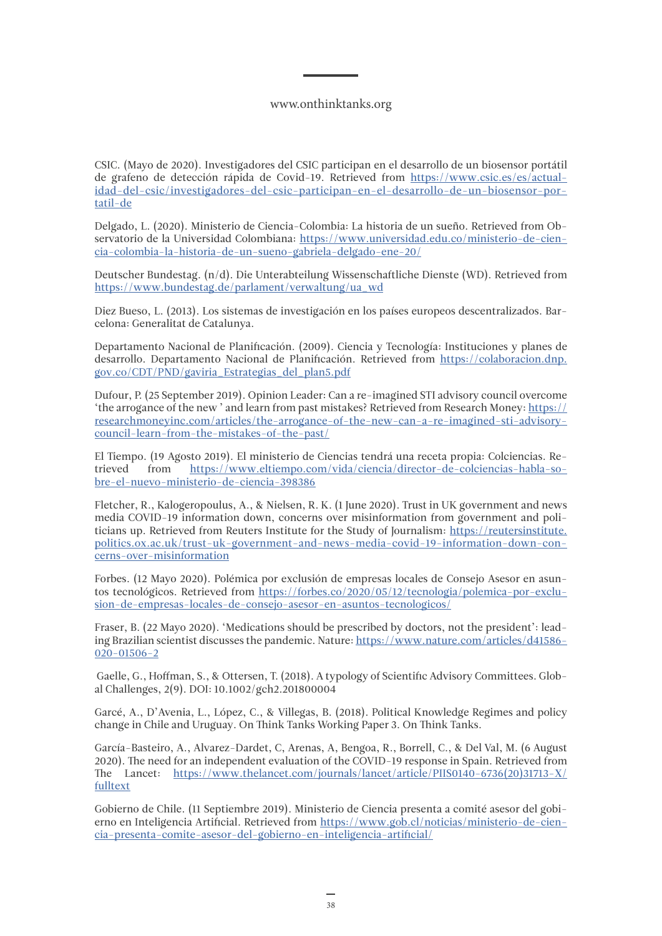CSIC. (Mayo de 2020). Investigadores del CSIC participan en el desarrollo de un biosensor portátil de grafeno de detección rápida de Covid-19. Retrieved from [https://www.csic.es/es/actual](https://www.csic.es/es/actualidad-del-csic/investigadores-del-csic-participan-en-el-desarrollo-de-un-biosensor-portatil-de)[idad-del-csic/investigadores-del-csic-participan-en-el-desarrollo-de-un-biosensor-por](https://www.csic.es/es/actualidad-del-csic/investigadores-del-csic-participan-en-el-desarrollo-de-un-biosensor-portatil-de)[tatil-de](https://www.csic.es/es/actualidad-del-csic/investigadores-del-csic-participan-en-el-desarrollo-de-un-biosensor-portatil-de)

Delgado, L. (2020). Ministerio de Ciencia-Colombia: La historia de un sueño. Retrieved from Observatorio de la Universidad Colombiana: [https://www.universidad.edu.co/ministerio-de-cien](https://www.universidad.edu.co/ministerio-de-ciencia-colombia-la-historia-de-un-sueno-gabriela-delgado-ene-20/)[cia-colombia-la-historia-de-un-sueno-gabriela-delgado-ene-20/](https://www.universidad.edu.co/ministerio-de-ciencia-colombia-la-historia-de-un-sueno-gabriela-delgado-ene-20/)

Deutscher Bundestag. (n/d). Die Unterabteilung Wissenschaftliche Dienste (WD). Retrieved from [https://www.bundestag.de/parlament/verwaltung/ua\\_wd](https://www.bundestag.de/parlament/verwaltung/ua_wd)

Diez Bueso, L. (2013). Los sistemas de investigación en los países europeos descentralizados. Barcelona: Generalitat de Catalunya.

Departamento Nacional de Planificación. (2009). Ciencia y Tecnología: Instituciones y planes de desarrollo. Departamento Nacional de Planificación. Retrieved from [https://colaboracion.dnp.](https://colaboracion.dnp.gov.co/CDT/PND/gaviria_Estrategias_del_plan5.pdf) [gov.co/CDT/PND/gaviria\\_Estrategias\\_del\\_plan5.pdf](https://colaboracion.dnp.gov.co/CDT/PND/gaviria_Estrategias_del_plan5.pdf)

Dufour, P. (25 September 2019). Opinion Leader: Can a re-imagined STI advisory council overcome 'the arrogance of the new ' and learn from past mistakes? Retrieved from Research Money: [https://](https://researchmoneyinc.com/articles/the-arrogance-of-the-new-can-a-re-imagined-sti-advisory-council-learn-from-the-mistakes-of-the-past/) [researchmoneyinc.com/articles/the-arrogance-of-the-new-can-a-re-imagined-sti-advisory](https://researchmoneyinc.com/articles/the-arrogance-of-the-new-can-a-re-imagined-sti-advisory-council-learn-from-the-mistakes-of-the-past/)[council-learn-from-the-mistakes-of-the-past/](https://researchmoneyinc.com/articles/the-arrogance-of-the-new-can-a-re-imagined-sti-advisory-council-learn-from-the-mistakes-of-the-past/)

El Tiempo. (19 Agosto 2019). El ministerio de Ciencias tendrá una receta propia: Colciencias. Re[https://www.eltiempo.com/vida/ciencia/director-de-colciencias-habla-so](https://www.eltiempo.com/vida/ciencia/director-de-colciencias-habla-sobre-el-nuevo-ministerio-de-ciencia-398386)[bre-el-nuevo-ministerio-de-ciencia-398386](https://www.eltiempo.com/vida/ciencia/director-de-colciencias-habla-sobre-el-nuevo-ministerio-de-ciencia-398386)

Fletcher, R., Kalogeropoulus, A., & Nielsen, R. K. (1 June 2020). Trust in UK government and news media COVID-19 information down, concerns over misinformation from government and politicians up. Retrieved from Reuters Institute for the Study of Journalism: [https://reutersinstitute.](https://reutersinstitute.politics.ox.ac.uk/trust-uk-government-and-news-media-covid-19-information-down-concerns-over-misinformation) [politics.ox.ac.uk/trust-uk-government-and-news-media-covid-19-information-down-con](https://reutersinstitute.politics.ox.ac.uk/trust-uk-government-and-news-media-covid-19-information-down-concerns-over-misinformation)[cerns-over-misinformation](https://reutersinstitute.politics.ox.ac.uk/trust-uk-government-and-news-media-covid-19-information-down-concerns-over-misinformation)

Forbes. (12 Mayo 2020). Polémica por exclusión de empresas locales de Consejo Asesor en asuntos tecnológicos. Retrieved from [https://forbes.co/2020/05/12/tecnologia/polemica-por-exclu](https://forbes.co/2020/05/12/tecnologia/polemica-por-exclusion-de-empresas-locales-de-consejo-asesor-en-asuntos-tecnologicos/)[sion-de-empresas-locales-de-consejo-asesor-en-asuntos-tecnologicos/](https://forbes.co/2020/05/12/tecnologia/polemica-por-exclusion-de-empresas-locales-de-consejo-asesor-en-asuntos-tecnologicos/)

Fraser, B. (22 Mayo 2020). 'Medications should be prescribed by doctors, not the president': leading Brazilian scientist discusses the pandemic. Nature: [https://www.nature.com/articles/d41586-](https://www.nature.com/articles/d41586-020-01506-2) [020-01506-2](https://www.nature.com/articles/d41586-020-01506-2)

 Gaelle, G., Hoffman, S., & Ottersen, T. (2018). A typology of Scientific Advisory Committees. Global Challenges, 2(9). DOI: 10.1002/gch2.201800004

Garcé, A., D'Avenia, L., López, C., & Villegas, B. (2018). Political Knowledge Regimes and policy change in Chile and Uruguay. On Think Tanks Working Paper 3. On Think Tanks.

García-Basteiro, A., Alvarez-Dardet, C, Arenas, A, Bengoa, R., Borrell, C., & Del Val, M. (6 August 2020). The need for an independent evaluation of the COVID-19 response in Spain. Retrieved from The Lancet: [https://www.thelancet.com/journals/lancet/article/PIIS0140-6736\(20\)31713-X/](https://www.thelancet.com/journals/lancet/article/PIIS0140-6736(20)31713-X/fulltext) [fulltext](https://www.thelancet.com/journals/lancet/article/PIIS0140-6736(20)31713-X/fulltext)

Gobierno de Chile. (11 Septiembre 2019). Ministerio de Ciencia presenta a comité asesor del gobierno en Inteligencia Artificial. Retrieved from [https://www.gob.cl/noticias/ministerio-de-cien](https://www.gob.cl/noticias/ministerio-de-ciencia-presenta-comite-asesor-del-gobierno-en-inteligencia-artificial/)[cia-presenta-comite-asesor-del-gobierno-en-inteligencia-artificial/](https://www.gob.cl/noticias/ministerio-de-ciencia-presenta-comite-asesor-del-gobierno-en-inteligencia-artificial/)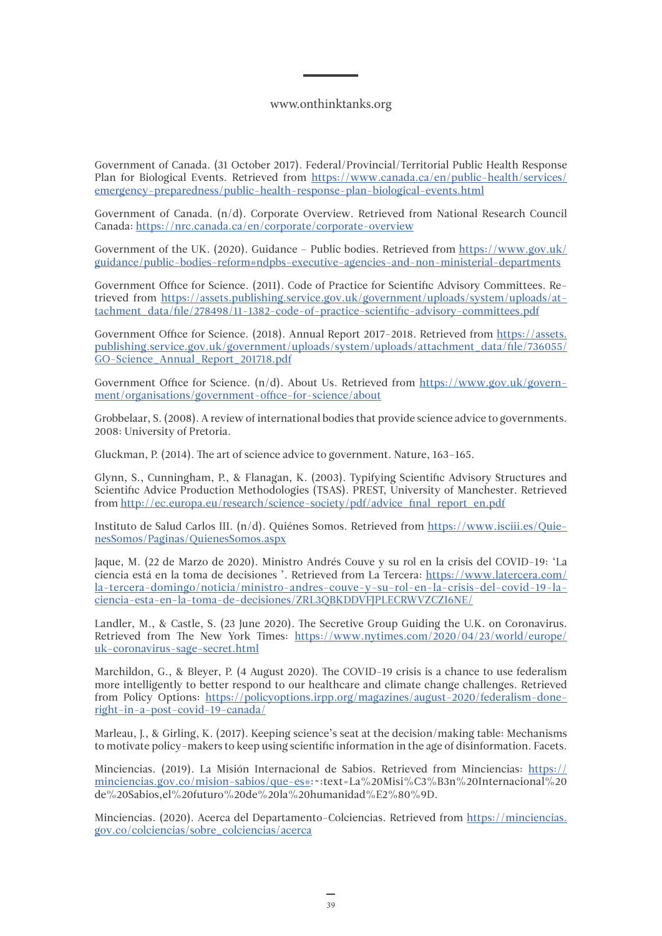Government of Canada. (31 October 2017). Federal/Provincial/Territorial Public Health Response Plan for Biological Events. Retrieved from [https://www.canada.ca/en/public-health/services/](https://www.canada.ca/en/public-health/services/emergency-preparedness/public-health-response-plan-biological-events.html) [emergency-preparedness/public-health-response-plan-biological-events.html](https://www.canada.ca/en/public-health/services/emergency-preparedness/public-health-response-plan-biological-events.html)

Government of Canada. (n/d). Corporate Overview. Retrieved from National Research Council Canada:<https://nrc.canada.ca/en/corporate/corporate-overview>

Government of the UK. (2020). Guidance - Public bodies. Retrieved from [https://www.gov.uk/](https://www.gov.uk/guidance/public-bodies-reform#ndpbs-executive-agencies-and-non-ministerial-departments) [guidance/public-bodies-reform#ndpbs-executive-agencies-and-non-ministerial-departments](https://www.gov.uk/guidance/public-bodies-reform#ndpbs-executive-agencies-and-non-ministerial-departments)

Government Office for Science. (2011). Code of Practice for Scientific Advisory Committees. Retrieved from [https://assets.publishing.service.gov.uk/government/uploads/system/uploads/at](https://assets.publishing.service.gov.uk/government/uploads/system/uploads/attachment_data/file/278498/11-1382-code-of-practice-scientific-advisory-committees.pdf)[tachment\\_data/file/278498/11-1382-code-of-practice-scientific-advisory-committees.pdf](https://assets.publishing.service.gov.uk/government/uploads/system/uploads/attachment_data/file/278498/11-1382-code-of-practice-scientific-advisory-committees.pdf)

Government Office for Science. (2018). Annual Report 2017-2018. Retrieved from [https://assets.](https://assets.publishing.service.gov.uk/government/uploads/system/uploads/attachment_data/file/736055/GO-Science_Annual_Report_201718.pdf) [publishing.service.gov.uk/government/uploads/system/uploads/attachment\\_data/file/736055/](https://assets.publishing.service.gov.uk/government/uploads/system/uploads/attachment_data/file/736055/GO-Science_Annual_Report_201718.pdf) [GO-Science\\_Annual\\_Report\\_201718.pdf](https://assets.publishing.service.gov.uk/government/uploads/system/uploads/attachment_data/file/736055/GO-Science_Annual_Report_201718.pdf)

Government Office for Science. (n/d). About Us. Retrieved from [https://www.gov.uk/govern](https://www.gov.uk/government/organisations/government-office-for-science/about)[ment/organisations/government-office-for-science/about](https://www.gov.uk/government/organisations/government-office-for-science/about)

Grobbelaar, S. (2008). A review of international bodies that provide science advice to governments. 2008: University of Pretoria.

Gluckman, P. (2014). The art of science advice to government. Nature, 163–165.

Glynn, S., Cunningham, P., & Flanagan, K. (2003). Typifying Scientific Advisory Structures and Scientific Advice Production Methodologies (TSAS). PREST, University of Manchester. Retrieved from [http://ec.europa.eu/research/science-society/pdf/advice\\_final\\_report\\_en.pdf](http://ec.europa.eu/research/science-society/pdf/advice_final_report_en.pdf)

Instituto de Salud Carlos III. (n/d). Quiénes Somos. Retrieved from [https://www.isciii.es/Quie](https://www.isciii.es/QuienesSomos/Paginas/QuienesSomos.aspx)[nesSomos/Paginas/QuienesSomos.aspx](https://www.isciii.es/QuienesSomos/Paginas/QuienesSomos.aspx)

Jaque, M. (22 de Marzo de 2020). Ministro Andrés Couve y su rol en la crisis del COVID-19: 'La ciencia está en la toma de decisiones '. Retrieved from La Tercera: [https://www.latercera.com/](https://www.latercera.com/la-tercera-domingo/noticia/ministro-andres-couve-y-su-rol-en-la-crisis-del-covid-19-la-ciencia-esta-en-la-toma-de-decisiones/ZRL3QBKDDVFJPLECRWVZCZI6NE/) [la-tercera-domingo/noticia/ministro-andres-couve-y-su-rol-en-la-crisis-del-covid-19-la](https://www.latercera.com/la-tercera-domingo/noticia/ministro-andres-couve-y-su-rol-en-la-crisis-del-covid-19-la-ciencia-esta-en-la-toma-de-decisiones/ZRL3QBKDDVFJPLECRWVZCZI6NE/)[ciencia-esta-en-la-toma-de-decisiones/ZRL3QBKDDVFJPLECRWVZCZI6NE/](https://www.latercera.com/la-tercera-domingo/noticia/ministro-andres-couve-y-su-rol-en-la-crisis-del-covid-19-la-ciencia-esta-en-la-toma-de-decisiones/ZRL3QBKDDVFJPLECRWVZCZI6NE/)

Landler, M., & Castle, S. (23 June 2020). The Secretive Group Guiding the U.K. on Coronavirus. Retrieved from The New York Times: [https://www.nytimes.com/2020/04/23/world/europe/](https://www.nytimes.com/2020/04/23/world/europe/uk-coronavirus-sage-secret.html) [uk-coronavirus-sage-secret.html](https://www.nytimes.com/2020/04/23/world/europe/uk-coronavirus-sage-secret.html)

Marchildon, G., & Bleyer, P. (4 August 2020). The COVID-19 crisis is a chance to use federalism more intelligently to better respond to our healthcare and climate change challenges. Retrieved from Policy Options: [https://policyoptions.irpp.org/magazines/august-2020/federalism-done](https://policyoptions.irpp.org/magazines/august-2020/federalism-done-right-in-a-post-covid-19-canada/)[right-in-a-post-covid-19-canada/](https://policyoptions.irpp.org/magazines/august-2020/federalism-done-right-in-a-post-covid-19-canada/)

Marleau, J., & Girling, K. (2017). Keeping science's seat at the decision/making table: Mechanisms to motivate policy-makers to keep using scientific information in the age of disinformation. Facets.

Minciencias. (2019). La Misión Internacional de Sabios. Retrieved from Minciencias: [https://](https://minciencias.gov.co/mision-sabios/que-es#) [minciencias.gov.co/mision-sabios/que-es#](https://minciencias.gov.co/mision-sabios/que-es#):~:text=La%20Misi%C3%B3n%20Internacional%20 de%20Sabios,el%20futuro%20de%20la%20humanidad%E2%80%9D.

Minciencias. (2020). Acerca del Departamento-Colciencias. Retrieved from [https://minciencias.](https://minciencias.gov.co/colciencias/sobre_colciencias/acerca) [gov.co/colciencias/sobre\\_colciencias/acerca](https://minciencias.gov.co/colciencias/sobre_colciencias/acerca)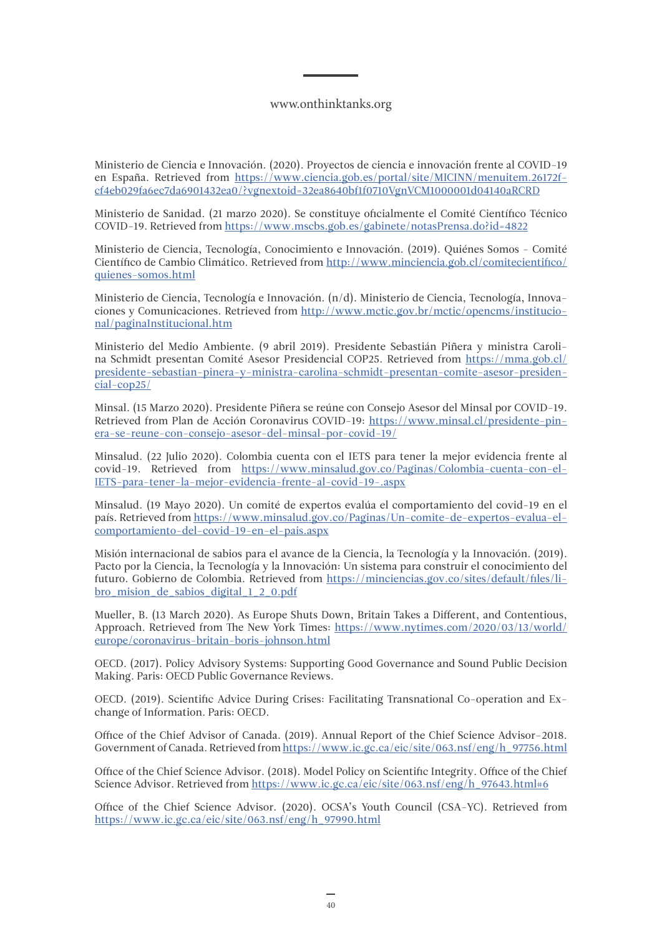Ministerio de Ciencia e Innovación. (2020). Proyectos de ciencia e innovación frente al COVID-19 en España. Retrieved from [https://www.ciencia.gob.es/portal/site/MICINN/menuitem.26172f](https://www.ciencia.gob.es/portal/site/MICINN/menuitem.26172fcf4eb029fa6ec7da6901432ea0/?vgnextoid=32ea8640bf1f0710VgnVCM1000001d04140aRCRD)[cf4eb029fa6ec7da6901432ea0/?vgnextoid=32ea8640bf1f0710VgnVCM1000001d04140aRCRD](https://www.ciencia.gob.es/portal/site/MICINN/menuitem.26172fcf4eb029fa6ec7da6901432ea0/?vgnextoid=32ea8640bf1f0710VgnVCM1000001d04140aRCRD)

Ministerio de Sanidad. (21 marzo 2020). Se constituye oficialmente el Comité Científico Técnico COVID-19. Retrieved from<https://www.mscbs.gob.es/gabinete/notasPrensa.do?id=4822>

Ministerio de Ciencia, Tecnología, Conocimiento e Innovación. (2019). Quiénes Somos - Comité Científico de Cambio Climático. Retrieved from [http://www.minciencia.gob.cl/comitecientifico/](http://www.minciencia.gob.cl/comitecientifico/quienes-somos.html) [quienes-somos.html](http://www.minciencia.gob.cl/comitecientifico/quienes-somos.html)

Ministerio de Ciencia, Tecnología e Innovación. (n/d). Ministerio de Ciencia, Tecnología, Innovaciones y Comunicaciones. Retrieved from [http://www.mctic.gov.br/mctic/opencms/institucio](http://www.mctic.gov.br/mctic/opencms/institucional/paginaInstitucional.htm)[nal/paginaInstitucional.htm](http://www.mctic.gov.br/mctic/opencms/institucional/paginaInstitucional.htm)

Ministerio del Medio Ambiente. (9 abril 2019). Presidente Sebastián Piñera y ministra Carolina Schmidt presentan Comité Asesor Presidencial COP25. Retrieved from [https://mma.gob.cl/](https://mma.gob.cl/presidente-sebastian-pinera-y-ministra-carolina-schmidt-presentan-comite-asesor-presidencial-cop25/) [presidente-sebastian-pinera-y-ministra-carolina-schmidt-presentan-comite-asesor-presiden](https://mma.gob.cl/presidente-sebastian-pinera-y-ministra-carolina-schmidt-presentan-comite-asesor-presidencial-cop25/)[cial-cop25/](https://mma.gob.cl/presidente-sebastian-pinera-y-ministra-carolina-schmidt-presentan-comite-asesor-presidencial-cop25/)

Minsal. (15 Marzo 2020). Presidente Piñera se reúne con Consejo Asesor del Minsal por COVID-19. Retrieved from Plan de Acción Coronavirus COVID-19: [https://www.minsal.cl/presidente-pin](https://www.minsal.cl/presidente-pinera-se-reune-con-consejo-asesor-del-minsal-por-covid-19/)[era-se-reune-con-consejo-asesor-del-minsal-por-covid-19/](https://www.minsal.cl/presidente-pinera-se-reune-con-consejo-asesor-del-minsal-por-covid-19/)

Minsalud. (22 Julio 2020). Colombia cuenta con el IETS para tener la mejor evidencia frente al covid-19. Retrieved from [https://www.minsalud.gov.co/Paginas/Colombia-cuenta-con-el-](https://www.minsalud.gov.co/Paginas/Colombia-cuenta-con-el-IETS-para-tener-la-mejor-evidencia-frente-al-covid-19-.aspx)[IETS-para-tener-la-mejor-evidencia-frente-al-covid-19-.aspx](https://www.minsalud.gov.co/Paginas/Colombia-cuenta-con-el-IETS-para-tener-la-mejor-evidencia-frente-al-covid-19-.aspx)

Minsalud. (19 Mayo 2020). Un comité de expertos evalúa el comportamiento del covid-19 en el país. Retrieved from [https://www.minsalud.gov.co/Paginas/Un-comite-de-expertos-evalua-el](https://www.minsalud.gov.co/Paginas/Un-comite-de-expertos-evalua-el-comportamiento-del-covid-19-en-el-pais.aspx)[comportamiento-del-covid-19-en-el-pais.aspx](https://www.minsalud.gov.co/Paginas/Un-comite-de-expertos-evalua-el-comportamiento-del-covid-19-en-el-pais.aspx)

Misión internacional de sabios para el avance de la Ciencia, la Tecnología y la Innovación. (2019). Pacto por la Ciencia, la Tecnología y la Innovación: Un sistema para construir el conocimiento del futuro. Gobierno de Colombia. Retrieved from [https://minciencias.gov.co/sites/default/files/li](https://minciencias.gov.co/sites/default/files/libro_mision_de_sabios_digital_1_2_0.pdf)[bro\\_mision\\_de\\_sabios\\_digital\\_1\\_2\\_0.pdf](https://minciencias.gov.co/sites/default/files/libro_mision_de_sabios_digital_1_2_0.pdf)

Mueller, B. (13 March 2020). As Europe Shuts Down, Britain Takes a Different, and Contentious, Approach. Retrieved from The New York Times: [https://www.nytimes.com/2020/03/13/world/](https://www.nytimes.com/2020/03/13/world/europe/coronavirus-britain-boris-johnson.html) [europe/coronavirus-britain-boris-johnson.html](https://www.nytimes.com/2020/03/13/world/europe/coronavirus-britain-boris-johnson.html)

OECD. (2017). Policy Advisory Systems: Supporting Good Governance and Sound Public Decision Making. Paris: OECD Public Governance Reviews.

OECD. (2019). Scientific Advice During Crises: Facilitating Transnational Co-operation and Exchange of Information. Paris: OECD.

Office of the Chief Advisor of Canada. (2019). Annual Report of the Chief Science Advisor–2018. Government of Canada. Retrieved from [https://www.ic.gc.ca/eic/site/063.nsf/eng/h\\_97756.html](https://www.ic.gc.ca/eic/site/063.nsf/eng/h_97756.html)

Office of the Chief Science Advisor. (2018). Model Policy on Scientific Integrity. Office of the Chief Science Advisor. Retrieved from [https://www.ic.gc.ca/eic/site/063.nsf/eng/h\\_97643.html#6](https://www.ic.gc.ca/eic/site/063.nsf/eng/h_97643.html#6)

Office of the Chief Science Advisor. (2020). OCSA's Youth Council (CSA-YC). Retrieved from [https://www.ic.gc.ca/eic/site/063.nsf/eng/h\\_97990.html](https://www.ic.gc.ca/eic/site/063.nsf/eng/h_97990.html)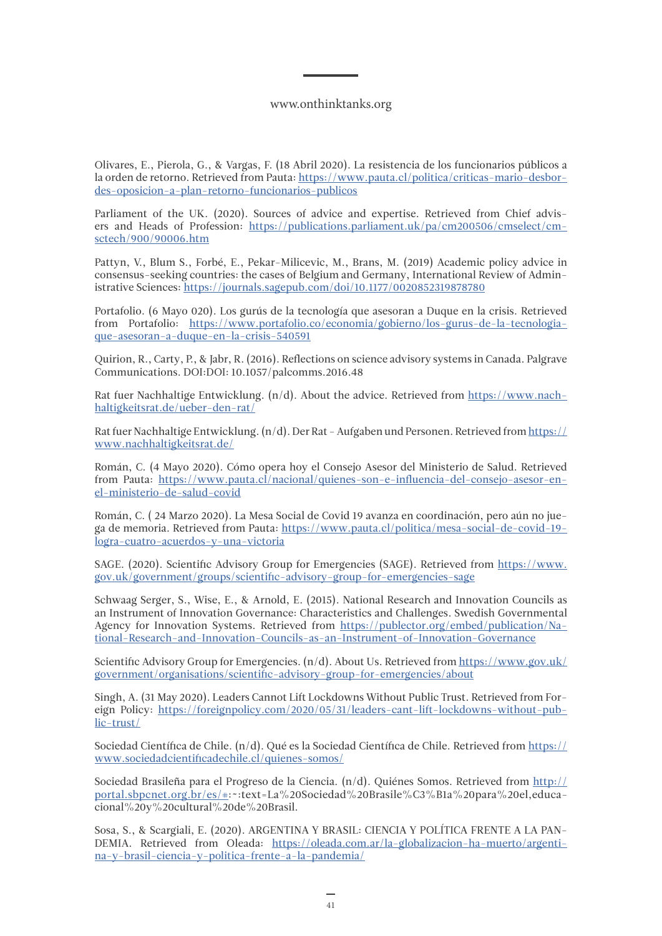Olivares, E., Pierola, G., & Vargas, F. (18 Abril 2020). La resistencia de los funcionarios públicos a la orden de retorno. Retrieved from Pauta: [https://www.pauta.cl/politica/criticas-mario-desbor](https://www.pauta.cl/politica/criticas-mario-desbordes-oposicion-a-plan-retorno-funcionarios-publicos)[des-oposicion-a-plan-retorno-funcionarios-publicos](https://www.pauta.cl/politica/criticas-mario-desbordes-oposicion-a-plan-retorno-funcionarios-publicos)

Parliament of the UK. (2020). Sources of advice and expertise. Retrieved from Chief advisers and Heads of Profession: [https://publications.parliament.uk/pa/cm200506/cmselect/cm](https://publications.parliament.uk/pa/cm200506/cmselect/cmsctech/900/90006.htm)[sctech/900/90006.htm](https://publications.parliament.uk/pa/cm200506/cmselect/cmsctech/900/90006.htm)

Pattyn, V., Blum S., Forbé, E., Pekar-Milicevic, M., Brans, M. (2019) Academic policy advice in consensus-seeking countries: the cases of Belgium and Germany, International Review of Administrative Sciences:<https://journals.sagepub.com/doi/10.1177/0020852319878780>

Portafolio. (6 Mayo 020). Los gurús de la tecnología que asesoran a Duque en la crisis. Retrieved from Portafolio: [https://www.portafolio.co/economia/gobierno/los-gurus-de-la-tecnologia](https://www.portafolio.co/economia/gobierno/los-gurus-de-la-tecnologia-que-asesoran-a-duque-en-la-crisis-540591)[que-asesoran-a-duque-en-la-crisis-540591](https://www.portafolio.co/economia/gobierno/los-gurus-de-la-tecnologia-que-asesoran-a-duque-en-la-crisis-540591)

Quirion, R., Carty, P., & Jabr, R. (2016). Reflections on science advisory systems in Canada. Palgrave Communications. DOI:DOI: 10.1057/palcomms.2016.48

Rat fuer Nachhaltige Entwicklung. (n/d). About the advice. Retrieved from [https://www.nach](https://www.nachhaltigkeitsrat.de/ueber-den-rat/)[haltigkeitsrat.de/ueber-den-rat/](https://www.nachhaltigkeitsrat.de/ueber-den-rat/)

Rat fuer Nachhaltige Entwicklung. (n/d). Der Rat - Aufgaben und Personen. Retrieved from [https://](https://www.nachhaltigkeitsrat.de/) [www.nachhaltigkeitsrat.de/](https://www.nachhaltigkeitsrat.de/)

Román, C. (4 Mayo 2020). Cómo opera hoy el Consejo Asesor del Ministerio de Salud. Retrieved from Pauta: [https://www.pauta.cl/nacional/quienes-son-e-influencia-del-consejo-asesor-en](https://www.pauta.cl/nacional/quienes-son-e-influencia-del-consejo-asesor-en-el-ministerio-de-salud-covid)[el-ministerio-de-salud-covid](https://www.pauta.cl/nacional/quienes-son-e-influencia-del-consejo-asesor-en-el-ministerio-de-salud-covid)

Román, C. ( 24 Marzo 2020). La Mesa Social de Covid 19 avanza en coordinación, pero aún no juega de memoria. Retrieved from Pauta: [https://www.pauta.cl/politica/mesa-social-de-covid-19](https://www.pauta.cl/politica/mesa-social-de-covid-19-logra-cuatro-acuerdos-y-una-victoria) [logra-cuatro-acuerdos-y-una-victoria](https://www.pauta.cl/politica/mesa-social-de-covid-19-logra-cuatro-acuerdos-y-una-victoria)

SAGE. (2020). Scientific Advisory Group for Emergencies (SAGE). Retrieved from [https://www.](https://www.gov.uk/government/groups/scientific-advisory-group-for-emergencies-sage) [gov.uk/government/groups/scientific-advisory-group-for-emergencies-sage](https://www.gov.uk/government/groups/scientific-advisory-group-for-emergencies-sage)

Schwaag Serger, S., Wise, E., & Arnold, E. (2015). National Research and Innovation Councils as an Instrument of Innovation Governance: Characteristics and Challenges. Swedish Governmental Agency for Innovation Systems. Retrieved from [https://publector.org/embed/publication/Na](https://publector.org/embed/publication/National-Research-and-Innovation-Councils-as-an-Instrument-of-Innovation-Governance)[tional-Research-and-Innovation-Councils-as-an-Instrument-of-Innovation-Governance](https://publector.org/embed/publication/National-Research-and-Innovation-Councils-as-an-Instrument-of-Innovation-Governance)

Scientific Advisory Group for Emergencies.  $(n/d)$ . About Us. Retrieved from [https://www.gov.uk/](https://www.gov.uk/government/organisations/scientific-advisory-group-for-emergencies/about) [government/organisations/scientific-advisory-group-for-emergencies/about](https://www.gov.uk/government/organisations/scientific-advisory-group-for-emergencies/about)

Singh, A. (31 May 2020). Leaders Cannot Lift Lockdowns Without Public Trust. Retrieved from Foreign Policy: [https://foreignpolicy.com/2020/05/31/leaders-cant-lift-lockdowns-without-pub](https://foreignpolicy.com/2020/05/31/leaders-cant-lift-lockdowns-without-public-trust/)[lic-trust/](https://foreignpolicy.com/2020/05/31/leaders-cant-lift-lockdowns-without-public-trust/)

Sociedad Científica de Chile. (n/d). Qué es la Sociedad Científica de Chile. Retrieved from [https://](https://www.sociedadcientificadechile.cl/quienes-somos/) [www.sociedadcientificadechile.cl/quienes-somos/](https://www.sociedadcientificadechile.cl/quienes-somos/)

Sociedad Brasileña para el Progreso de la Ciencia. (n/d). Quiénes Somos. Retrieved from [http://](http://portal.sbpcnet.org.br/es/#) [portal.sbpcnet.org.br/es/#](http://portal.sbpcnet.org.br/es/#):~:text=La%20Sociedad%20Brasile%C3%B1a%20para%20el,educacional%20y%20cultural%20de%20Brasil.

Sosa, S., & Scargiali, E. (2020). ARGENTINA Y BRASIL: CIENCIA Y POLÍTICA FRENTE A LA PAN-DEMIA. Retrieved from Oleada: [https://oleada.com.ar/la-globalizacion-ha-muerto/argenti](https://oleada.com.ar/la-globalizacion-ha-muerto/argentina-y-brasil-ciencia-y-politica-frente-a-la-pandemia/)[na-y-brasil-ciencia-y-politica-frente-a-la-pandemia/](https://oleada.com.ar/la-globalizacion-ha-muerto/argentina-y-brasil-ciencia-y-politica-frente-a-la-pandemia/)